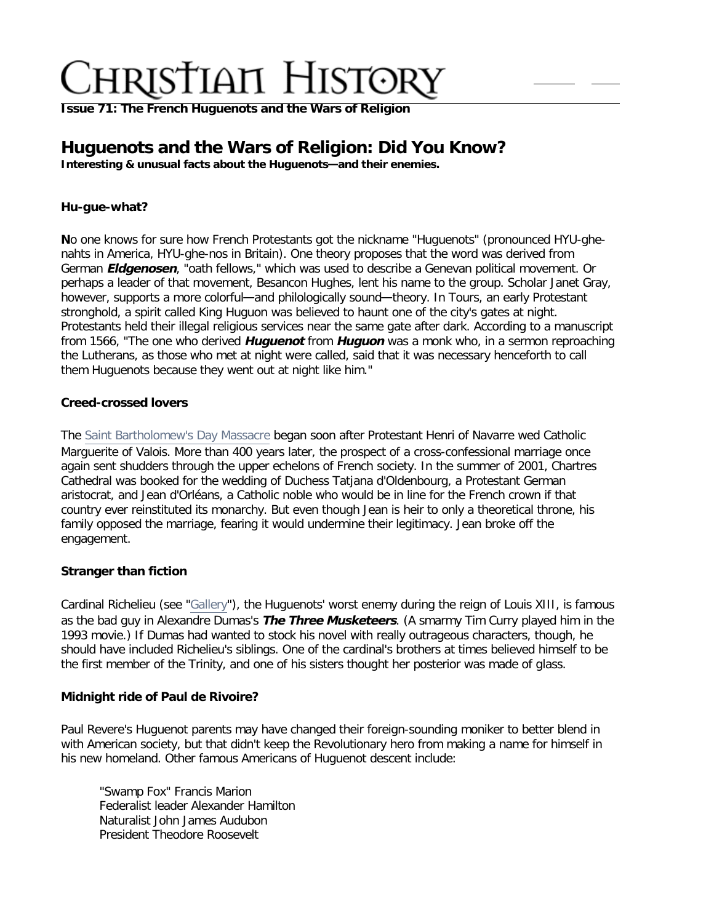# hristian Histor

**[Issue 71: The French Huguenots and the Wars of Religion](http://ctlstaging/ch/cdrom/collection.html?id=381)**

## **Huguenots and the Wars of Religion: Did You Know?**

**Interesting & unusual facts about the Huguenots—and their enemies.**

#### **Hu-gue-what?**

**N**o one knows for sure how French Protestants got the nickname "Huguenots" (pronounced HYU-ghenahts in America, HYU-ghe-nos in Britain). One theory proposes that the word was derived from German **Eldgenosen**, "oath fellows," which was used to describe a Genevan political movement. Or perhaps a leader of that movement, Besancon Hughes, lent his name to the group. Scholar Janet Gray, however, supports a more colorful—and philologically sound—theory. In Tours, an early Protestant stronghold, a spirit called King Huguon was believed to haunt one of the city's gates at night. Protestants held their illegal religious services near the same gate after dark. According to a manuscript from 1566, "The one who derived **Huguenot** from **Huguon** was a monk who, in a sermon reproaching the Lutherans, as those who met at night were called, said that it was necessary henceforth to call them Huguenots because they went out at night like him."

### **Creed-crossed lovers**

The [Saint Bartholomew's Day Massacre](http://www.christianitytoday.com/ch/2001/003/1.8.html) began soon after Protestant Henri of Navarre wed Catholic Marguerite of Valois. More than 400 years later, the prospect of a cross-confessional marriage once again sent shudders through the upper echelons of French society. In the summer of 2001, Chartres Cathedral was booked for the wedding of Duchess Tatjana d'Oldenbourg, a Protestant German aristocrat, and Jean d'Orléans, a Catholic noble who would be in line for the French crown if that country ever reinstituted its monarchy. But even though Jean is heir to only a theoretical throne, his family opposed the marriage, fearing it would undermine their legitimacy. Jean broke off the engagement.

#### **Stranger than fiction**

Cardinal Richelieu (see ["Gallery"](http://www.christianitytoday.com/ch/2001/003/7.31.html)), the Huguenots' worst enemy during the reign of Louis XIII, is famous as the bad guy in Alexandre Dumas's **The Three Musketeers**. (A smarmy Tim Curry played him in the 1993 movie.) If Dumas had wanted to stock his novel with really outrageous characters, though, he should have included Richelieu's siblings. One of the cardinal's brothers at times believed himself to be the first member of the Trinity, and one of his sisters thought her posterior was made of glass.

#### **Midnight ride of Paul de Rivoire?**

Paul Revere's Huguenot parents may have changed their foreign-sounding moniker to better blend in with American society, but that didn't keep the Revolutionary hero from making a name for himself in his new homeland. Other famous Americans of Huguenot descent include:

"Swamp Fox" Francis Marion Federalist leader Alexander Hamilton Naturalist John James Audubon President Theodore Roosevelt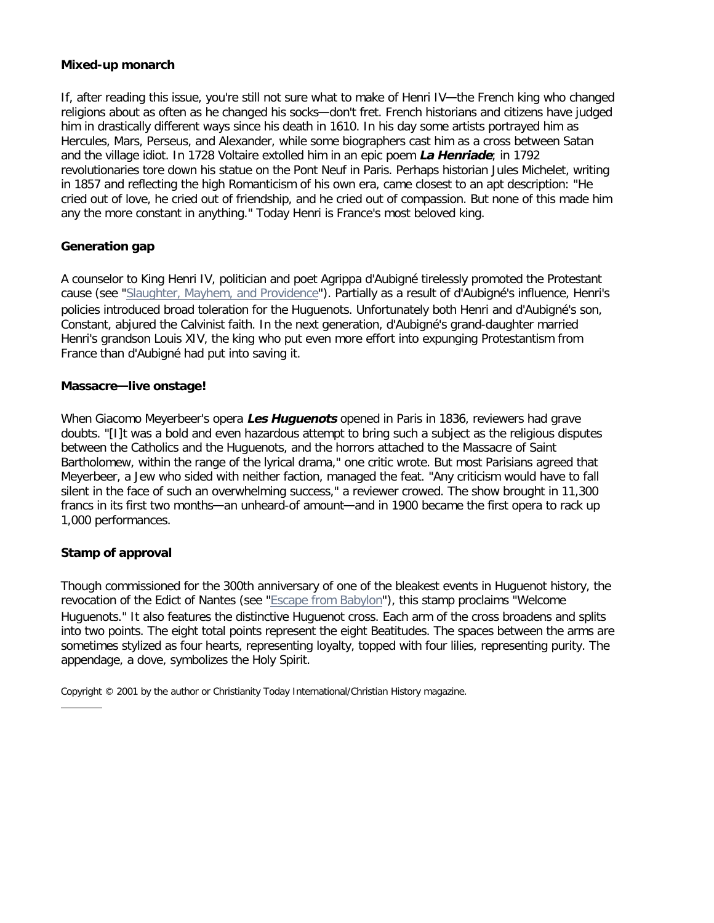#### **Mixed-up monarch**

If, after reading this issue, you're still not sure what to make of Henri IV—the French king who changed religions about as often as he changed his socks—don't fret. French historians and citizens have judged him in drastically different ways since his death in 1610. In his day some artists portrayed him as Hercules, Mars, Perseus, and Alexander, while some biographers cast him as a cross between Satan and the village idiot. In 1728 Voltaire extolled him in an epic poem **La Henriade**; in 1792 revolutionaries tore down his statue on the Pont Neuf in Paris. Perhaps historian Jules Michelet, writing in 1857 and reflecting the high Romanticism of his own era, came closest to an apt description: "He cried out of love, he cried out of friendship, and he cried out of compassion. But none of this made him any the more constant in anything." Today Henri is France's most beloved king.

### **Generation gap**

A counselor to King Henri IV, politician and poet Agrippa d'Aubigné tirelessly promoted the Protestant cause (see ["Slaughter, Mayhem, and Providence"](http://www.christianitytoday.com/ch/2001/003/6.28.html)). Partially as a result of d'Aubigné's influence, Henri's policies introduced broad toleration for the Huguenots. Unfortunately both Henri and d'Aubigné's son, Constant, abjured the Calvinist faith. In the next generation, d'Aubigné's grand-daughter married Henri's grandson Louis XIV, the king who put even more effort into expunging Protestantism from France than d'Aubigné had put into saving it.

#### **Massacre—live onstage!**

When Giacomo Meyerbeer's opera **Les Huguenots** opened in Paris in 1836, reviewers had grave doubts. "[I]t was a bold and even hazardous attempt to bring such a subject as the religious disputes between the Catholics and the Huguenots, and the horrors attached to the Massacre of Saint Bartholomew, within the range of the lyrical drama," one critic wrote. But most Parisians agreed that Meyerbeer, a Jew who sided with neither faction, managed the feat. "Any criticism would have to fall silent in the face of such an overwhelming success," a reviewer crowed. The show brought in 11,300 francs in its first two months—an unheard-of amount—and in 1900 became the first opera to rack up 1,000 performances.

#### **Stamp of approval**

Though commissioned for the 300th anniversary of one of the bleakest events in Huguenot history, the revocation of the Edict of Nantes (see ["Escape from Babylon"](http://www.christianitytoday.com/ch/2001/003/9.38.html)), this stamp proclaims "Welcome Huguenots." It also features the distinctive Huguenot cross. Each arm of the cross broadens and splits into two points. The eight total points represent the eight Beatitudes. The spaces between the arms are sometimes stylized as four hearts, representing loyalty, topped with four lilies, representing purity. The appendage, a dove, symbolizes the Holy Spirit.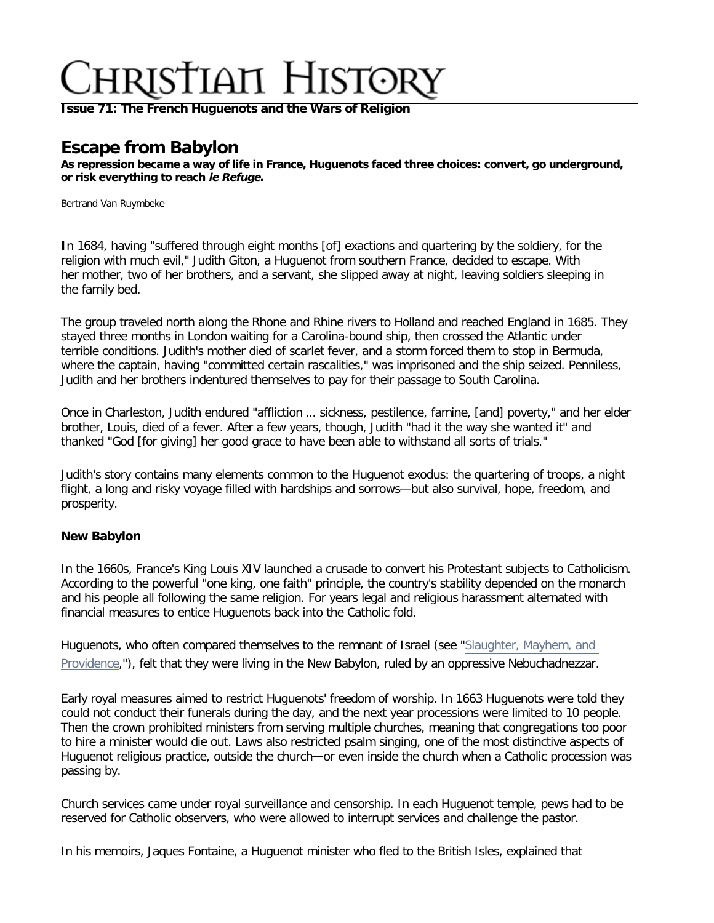# hristian Histoi

**[Issue 71: The French Huguenots and the Wars of Religion](http://ctlstaging/ch/cdrom/collection.html?id=381)**

## **Escape from Babylon**

**As repression became a way of life in France, Huguenots faced three choices: convert, go underground, or risk everything to reach le Refuge.**

Bertrand Van Ruymbeke

**I**n 1684, having "suffered through eight months [of] exactions and quartering by the soldiery, for the religion with much evil," Judith Giton, a Huguenot from southern France, decided to escape. With her mother, two of her brothers, and a servant, she slipped away at night, leaving soldiers sleeping in the family bed.

The group traveled north along the Rhone and Rhine rivers to Holland and reached England in 1685. They stayed three months in London waiting for a Carolina-bound ship, then crossed the Atlantic under terrible conditions. Judith's mother died of scarlet fever, and a storm forced them to stop in Bermuda, where the captain, having "committed certain rascalities," was imprisoned and the ship seized. Penniless, Judith and her brothers indentured themselves to pay for their passage to South Carolina.

Once in Charleston, Judith endured "affliction … sickness, pestilence, famine, [and] poverty," and her elder brother, Louis, died of a fever. After a few years, though, Judith "had it the way she wanted it" and thanked "God [for giving] her good grace to have been able to withstand all sorts of trials."

Judith's story contains many elements common to the Huguenot exodus: the quartering of troops, a night flight, a long and risky voyage filled with hardships and sorrows—but also survival, hope, freedom, and prosperity.

### **New Babylon**

In the 1660s, France's King Louis XIV launched a crusade to convert his Protestant subjects to Catholicism. According to the powerful "one king, one faith" principle, the country's stability depended on the monarch and his people all following the same religion. For years legal and religious harassment alternated with financial measures to entice Huguenots back into the Catholic fold.

Huguenots, who often compared themselves to the remnant of Israel (see "[Slaughter, Mayhem, and](http://www.christianitytoday.com/ch/2001/003/6.28.html) [Providence,](http://www.christianitytoday.com/ch/2001/003/6.28.html)"), felt that they were living in the New Babylon, ruled by an oppressive Nebuchadnezzar.

Early royal measures aimed to restrict Huguenots' freedom of worship. In 1663 Huguenots were told they could not conduct their funerals during the day, and the next year processions were limited to 10 people. Then the crown prohibited ministers from serving multiple churches, meaning that congregations too poor to hire a minister would die out. Laws also restricted psalm singing, one of the most distinctive aspects of Huguenot religious practice, outside the church—or even inside the church when a Catholic procession was passing by.

Church services came under royal surveillance and censorship. In each Huguenot temple, pews had to be reserved for Catholic observers, who were allowed to interrupt services and challenge the pastor.

In his memoirs, Jaques Fontaine, a Huguenot minister who fled to the British Isles, explained that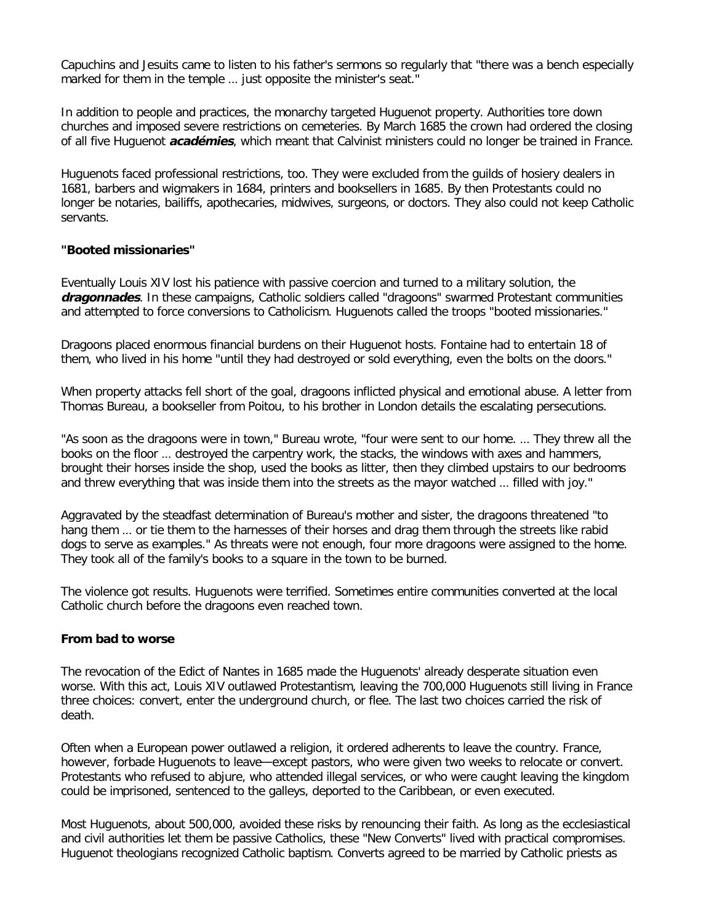Capuchins and Jesuits came to listen to his father's sermons so regularly that "there was a bench especially marked for them in the temple ... just opposite the minister's seat."

In addition to people and practices, the monarchy targeted Huguenot property. Authorities tore down churches and imposed severe restrictions on cemeteries. By March 1685 the crown had ordered the closing of all five Huguenot **académies**, which meant that Calvinist ministers could no longer be trained in France.

Huguenots faced professional restrictions, too. They were excluded from the guilds of hosiery dealers in 1681, barbers and wigmakers in 1684, printers and booksellers in 1685. By then Protestants could no longer be notaries, bailiffs, apothecaries, midwives, surgeons, or doctors. They also could not keep Catholic servants.

#### **"Booted missionaries"**

Eventually Louis XIV lost his patience with passive coercion and turned to a military solution, the **dragonnades**. In these campaigns, Catholic soldiers called "dragoons" swarmed Protestant communities and attempted to force conversions to Catholicism. Huguenots called the troops "booted missionaries."

Dragoons placed enormous financial burdens on their Huguenot hosts. Fontaine had to entertain 18 of them, who lived in his home "until they had destroyed or sold everything, even the bolts on the doors."

When property attacks fell short of the goal, dragoons inflicted physical and emotional abuse. A letter from Thomas Bureau, a bookseller from Poitou, to his brother in London details the escalating persecutions.

"As soon as the dragoons were in town," Bureau wrote, "four were sent to our home. … They threw all the books on the floor … destroyed the carpentry work, the stacks, the windows with axes and hammers, brought their horses inside the shop, used the books as litter, then they climbed upstairs to our bedrooms and threw everything that was inside them into the streets as the mayor watched … filled with joy."

Aggravated by the steadfast determination of Bureau's mother and sister, the dragoons threatened "to hang them … or tie them to the harnesses of their horses and drag them through the streets like rabid dogs to serve as examples." As threats were not enough, four more dragoons were assigned to the home. They took all of the family's books to a square in the town to be burned.

The violence got results. Huguenots were terrified. Sometimes entire communities converted at the local Catholic church before the dragoons even reached town.

#### **From bad to worse**

The revocation of the Edict of Nantes in 1685 made the Huguenots' already desperate situation even worse. With this act, Louis XIV outlawed Protestantism, leaving the 700,000 Huguenots still living in France three choices: convert, enter the underground church, or flee. The last two choices carried the risk of death.

Often when a European power outlawed a religion, it ordered adherents to leave the country. France, however, forbade Huguenots to leave—except pastors, who were given two weeks to relocate or convert. Protestants who refused to abjure, who attended illegal services, or who were caught leaving the kingdom could be imprisoned, sentenced to the galleys, deported to the Caribbean, or even executed.

Most Huguenots, about 500,000, avoided these risks by renouncing their faith. As long as the ecclesiastical and civil authorities let them be passive Catholics, these "New Converts" lived with practical compromises. Huguenot theologians recognized Catholic baptism. Converts agreed to be married by Catholic priests as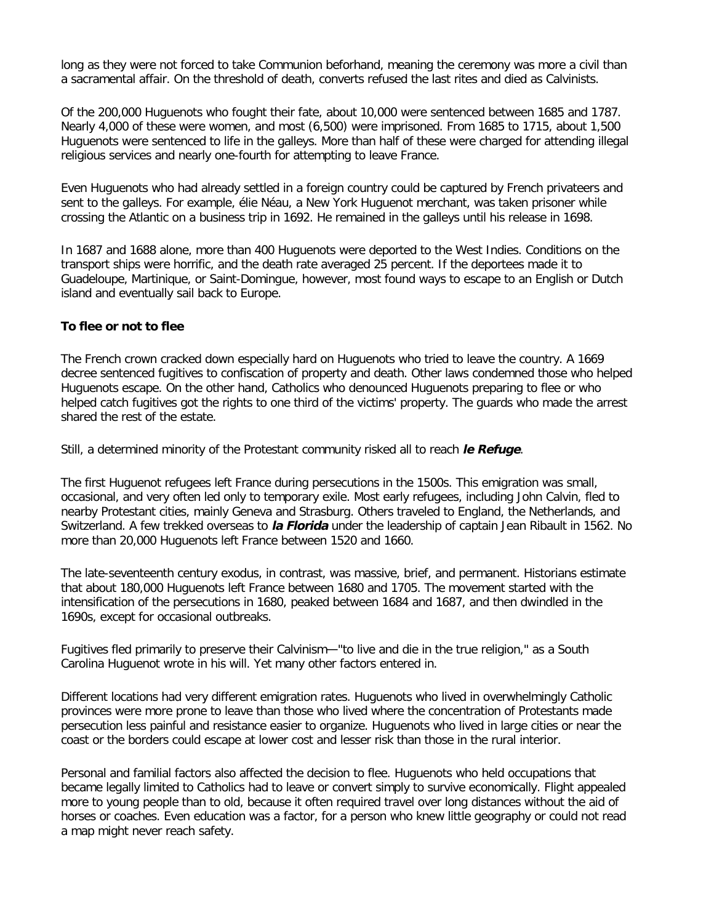long as they were not forced to take Communion beforhand, meaning the ceremony was more a civil than a sacramental affair. On the threshold of death, converts refused the last rites and died as Calvinists.

Of the 200,000 Huguenots who fought their fate, about 10,000 were sentenced between 1685 and 1787. Nearly 4,000 of these were women, and most (6,500) were imprisoned. From 1685 to 1715, about 1,500 Huguenots were sentenced to life in the galleys. More than half of these were charged for attending illegal religious services and nearly one-fourth for attempting to leave France.

Even Huguenots who had already settled in a foreign country could be captured by French privateers and sent to the galleys. For example, élie Néau, a New York Huguenot merchant, was taken prisoner while crossing the Atlantic on a business trip in 1692. He remained in the galleys until his release in 1698.

In 1687 and 1688 alone, more than 400 Huguenots were deported to the West Indies. Conditions on the transport ships were horrific, and the death rate averaged 25 percent. If the deportees made it to Guadeloupe, Martinique, or Saint-Domingue, however, most found ways to escape to an English or Dutch island and eventually sail back to Europe.

#### **To flee or not to flee**

The French crown cracked down especially hard on Huguenots who tried to leave the country. A 1669 decree sentenced fugitives to confiscation of property and death. Other laws condemned those who helped Huguenots escape. On the other hand, Catholics who denounced Huguenots preparing to flee or who helped catch fugitives got the rights to one third of the victims' property. The guards who made the arrest shared the rest of the estate.

Still, a determined minority of the Protestant community risked all to reach **le Refuge**.

The first Huguenot refugees left France during persecutions in the 1500s. This emigration was small, occasional, and very often led only to temporary exile. Most early refugees, including John Calvin, fled to nearby Protestant cities, mainly Geneva and Strasburg. Others traveled to England, the Netherlands, and Switzerland. A few trekked overseas to **la Florida** under the leadership of captain Jean Ribault in 1562. No more than 20,000 Huguenots left France between 1520 and 1660.

The late-seventeenth century exodus, in contrast, was massive, brief, and permanent. Historians estimate that about 180,000 Huguenots left France between 1680 and 1705. The movement started with the intensification of the persecutions in 1680, peaked between 1684 and 1687, and then dwindled in the 1690s, except for occasional outbreaks.

Fugitives fled primarily to preserve their Calvinism—"to live and die in the true religion," as a South Carolina Huguenot wrote in his will. Yet many other factors entered in.

Different locations had very different emigration rates. Huguenots who lived in overwhelmingly Catholic provinces were more prone to leave than those who lived where the concentration of Protestants made persecution less painful and resistance easier to organize. Huguenots who lived in large cities or near the coast or the borders could escape at lower cost and lesser risk than those in the rural interior.

Personal and familial factors also affected the decision to flee. Huguenots who held occupations that became legally limited to Catholics had to leave or convert simply to survive economically. Flight appealed more to young people than to old, because it often required travel over long distances without the aid of horses or coaches. Even education was a factor, for a person who knew little geography or could not read a map might never reach safety.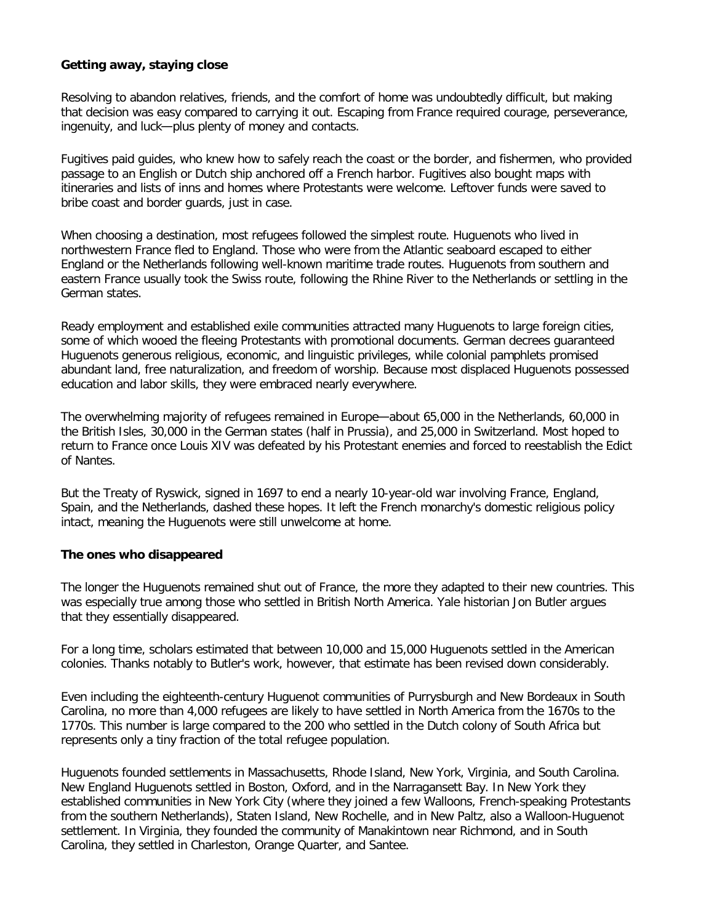#### **Getting away, staying close**

Resolving to abandon relatives, friends, and the comfort of home was undoubtedly difficult, but making that decision was easy compared to carrying it out. Escaping from France required courage, perseverance, ingenuity, and luck—plus plenty of money and contacts.

Fugitives paid guides, who knew how to safely reach the coast or the border, and fishermen, who provided passage to an English or Dutch ship anchored off a French harbor. Fugitives also bought maps with itineraries and lists of inns and homes where Protestants were welcome. Leftover funds were saved to bribe coast and border guards, just in case.

When choosing a destination, most refugees followed the simplest route. Huguenots who lived in northwestern France fled to England. Those who were from the Atlantic seaboard escaped to either England or the Netherlands following well-known maritime trade routes. Huguenots from southern and eastern France usually took the Swiss route, following the Rhine River to the Netherlands or settling in the German states.

Ready employment and established exile communities attracted many Huguenots to large foreign cities, some of which wooed the fleeing Protestants with promotional documents. German decrees guaranteed Huguenots generous religious, economic, and linguistic privileges, while colonial pamphlets promised abundant land, free naturalization, and freedom of worship. Because most displaced Huguenots possessed education and labor skills, they were embraced nearly everywhere.

The overwhelming majority of refugees remained in Europe—about 65,000 in the Netherlands, 60,000 in the British Isles, 30,000 in the German states (half in Prussia), and 25,000 in Switzerland. Most hoped to return to France once Louis XIV was defeated by his Protestant enemies and forced to reestablish the Edict of Nantes.

But the Treaty of Ryswick, signed in 1697 to end a nearly 10-year-old war involving France, England, Spain, and the Netherlands, dashed these hopes. It left the French monarchy's domestic religious policy intact, meaning the Huguenots were still unwelcome at home.

#### **The ones who disappeared**

The longer the Huguenots remained shut out of France, the more they adapted to their new countries. This was especially true among those who settled in British North America. Yale historian Jon Butler argues that they essentially disappeared.

For a long time, scholars estimated that between 10,000 and 15,000 Huguenots settled in the American colonies. Thanks notably to Butler's work, however, that estimate has been revised down considerably.

Even including the eighteenth-century Huguenot communities of Purrysburgh and New Bordeaux in South Carolina, no more than 4,000 refugees are likely to have settled in North America from the 1670s to the 1770s. This number is large compared to the 200 who settled in the Dutch colony of South Africa but represents only a tiny fraction of the total refugee population.

Huguenots founded settlements in Massachusetts, Rhode Island, New York, Virginia, and South Carolina. New England Huguenots settled in Boston, Oxford, and in the Narragansett Bay. In New York they established communities in New York City (where they joined a few Walloons, French-speaking Protestants from the southern Netherlands), Staten Island, New Rochelle, and in New Paltz, also a Walloon-Huguenot settlement. In Virginia, they founded the community of Manakintown near Richmond, and in South Carolina, they settled in Charleston, Orange Quarter, and Santee.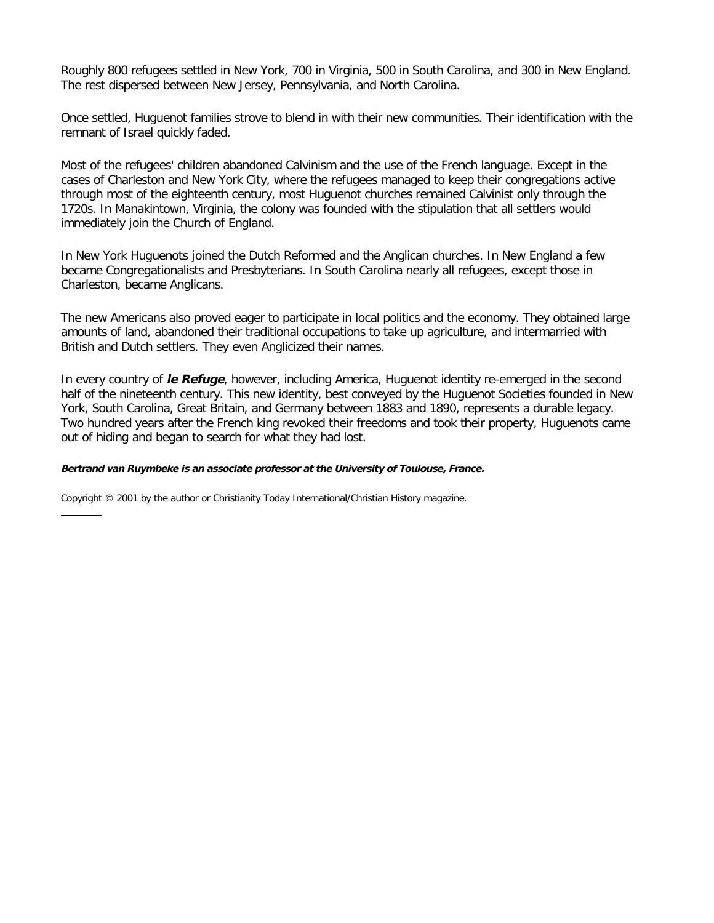Roughly 800 refugees settled in New York, 700 in Virginia, 500 in South Carolina, and 300 in New England. The rest dispersed between New Jersey, Pennsylvania, and North Carolina.

Once settled, Huguenot families strove to blend in with their new communities. Their identification with the remnant of Israel quickly faded.

Most of the refugees' children abandoned Calvinism and the use of the French language. Except in the cases of Charleston and New York City, where the refugees managed to keep their congregations active through most of the eighteenth century, most Huguenot churches remained Calvinist only through the 1720s. In Manakintown, Virginia, the colony was founded with the stipulation that all settlers would immediately join the Church of England.

In New York Huguenots joined the Dutch Reformed and the Anglican churches. In New England a few became Congregationalists and Presbyterians. In South Carolina nearly all refugees, except those in Charleston, became Anglicans.

The new Americans also proved eager to participate in local politics and the economy. They obtained large amounts of land, abandoned their traditional occupations to take up agriculture, and intermarried with British and Dutch settlers. They even Anglicized their names.

In every country of **le Refuge**, however, including America, Huguenot identity re-emerged in the second half of the nineteenth century. This new identity, best conveyed by the Huguenot Societies founded in New York, South Carolina, Great Britain, and Germany between 1883 and 1890, represents a durable legacy. Two hundred years after the French king revoked their freedoms and took their property, Huguenots came out of hiding and began to search for what they had lost.

#### **Bertrand van Ruymbeke is an associate professor at the University of Toulouse, France.**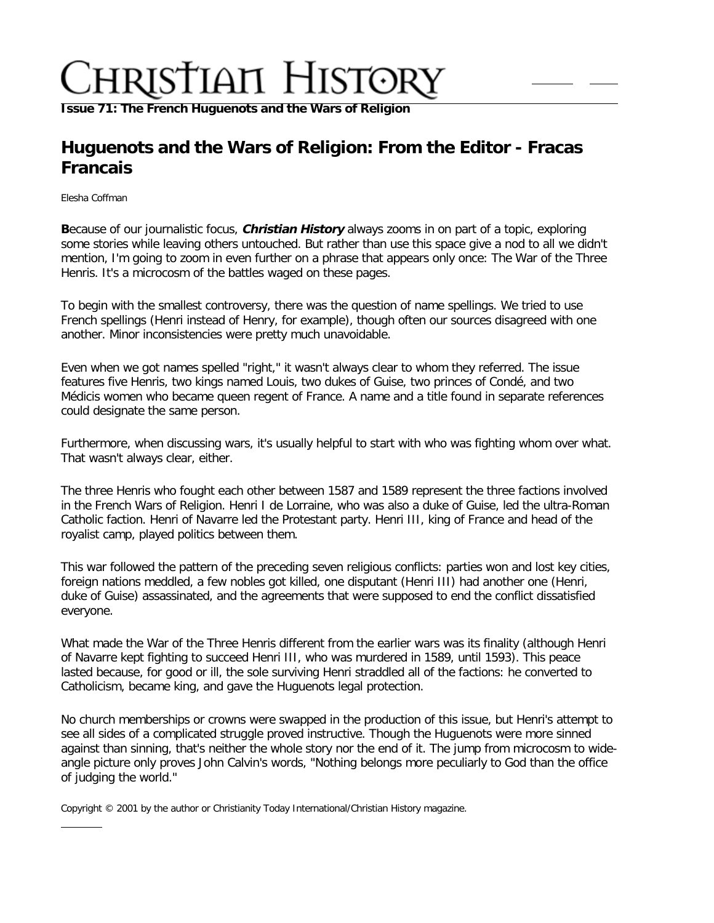# hristian Histor

**[Issue 71: The French Huguenots and the Wars of Religion](http://ctlstaging/ch/cdrom/collection.html?id=381)**

# **Huguenots and the Wars of Religion: From the Editor - Fracas Francais**

Elesha Coffman

**B**ecause of our journalistic focus, **Christian History** always zooms in on part of a topic, exploring some stories while leaving others untouched. But rather than use this space give a nod to all we didn't mention, I'm going to zoom in even further on a phrase that appears only once: The War of the Three Henris. It's a microcosm of the battles waged on these pages.

To begin with the smallest controversy, there was the question of name spellings. We tried to use French spellings (Henri instead of Henry, for example), though often our sources disagreed with one another. Minor inconsistencies were pretty much unavoidable.

Even when we got names spelled "right," it wasn't always clear to whom they referred. The issue features five Henris, two kings named Louis, two dukes of Guise, two princes of Condé, and two Médicis women who became queen regent of France. A name and a title found in separate references could designate the same person.

Furthermore, when discussing wars, it's usually helpful to start with who was fighting whom over what. That wasn't always clear, either.

The three Henris who fought each other between 1587 and 1589 represent the three factions involved in the French Wars of Religion. Henri I de Lorraine, who was also a duke of Guise, led the ultra-Roman Catholic faction. Henri of Navarre led the Protestant party. Henri III, king of France and head of the royalist camp, played politics between them.

This war followed the pattern of the preceding seven religious conflicts: parties won and lost key cities, foreign nations meddled, a few nobles got killed, one disputant (Henri III) had another one (Henri, duke of Guise) assassinated, and the agreements that were supposed to end the conflict dissatisfied everyone.

What made the War of the Three Henris different from the earlier wars was its finality (although Henri of Navarre kept fighting to succeed Henri III, who was murdered in 1589, until 1593). This peace lasted because, for good or ill, the sole surviving Henri straddled all of the factions: he converted to Catholicism, became king, and gave the Huguenots legal protection.

No church memberships or crowns were swapped in the production of this issue, but Henri's attempt to see all sides of a complicated struggle proved instructive. Though the Huguenots were more sinned against than sinning, that's neither the whole story nor the end of it. The jump from microcosm to wideangle picture only proves John Calvin's words, "Nothing belongs more peculiarly to God than the office of judging the world."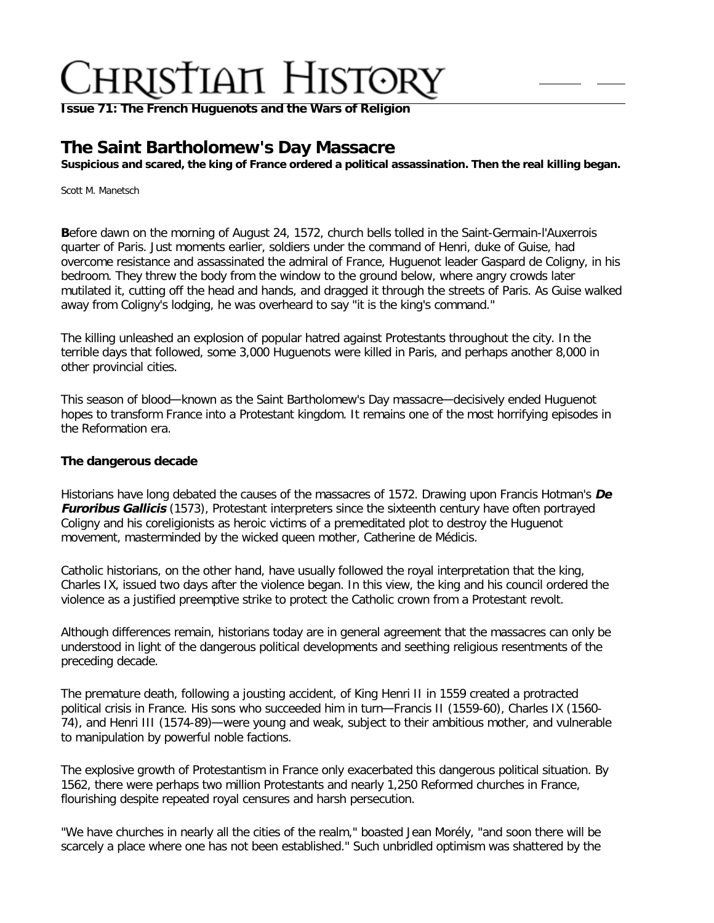# hristian Histof

**[Issue 71: The French Huguenots and the Wars of Religion](http://ctlstaging/ch/cdrom/collection.html?id=381)**

## **The Saint Bartholomew's Day Massacre**

**Suspicious and scared, the king of France ordered a political assassination. Then the real killing began.**

Scott M. Manetsch

**B**efore dawn on the morning of August 24, 1572, church bells tolled in the Saint-Germain-l'Auxerrois quarter of Paris. Just moments earlier, soldiers under the command of Henri, duke of Guise, had overcome resistance and assassinated the admiral of France, Huguenot leader Gaspard de Coligny, in his bedroom. They threw the body from the window to the ground below, where angry crowds later mutilated it, cutting off the head and hands, and dragged it through the streets of Paris. As Guise walked away from Coligny's lodging, he was overheard to say "it is the king's command."

The killing unleashed an explosion of popular hatred against Protestants throughout the city. In the terrible days that followed, some 3,000 Huguenots were killed in Paris, and perhaps another 8,000 in other provincial cities.

This season of blood—known as the Saint Bartholomew's Day massacre—decisively ended Huguenot hopes to transform France into a Protestant kingdom. It remains one of the most horrifying episodes in the Reformation era.

#### **The dangerous decade**

Historians have long debated the causes of the massacres of 1572. Drawing upon Francis Hotman's **De Furoribus Gallicis** (1573), Protestant interpreters since the sixteenth century have often portrayed Coligny and his coreligionists as heroic victims of a premeditated plot to destroy the Huguenot movement, masterminded by the wicked queen mother, Catherine de Médicis.

Catholic historians, on the other hand, have usually followed the royal interpretation that the king, Charles IX, issued two days after the violence began. In this view, the king and his council ordered the violence as a justified preemptive strike to protect the Catholic crown from a Protestant revolt.

Although differences remain, historians today are in general agreement that the massacres can only be understood in light of the dangerous political developments and seething religious resentments of the preceding decade.

The premature death, following a jousting accident, of King Henri II in 1559 created a protracted political crisis in France. His sons who succeeded him in turn—Francis II (1559-60), Charles IX (1560- 74), and Henri III (1574-89)—were young and weak, subject to their ambitious mother, and vulnerable to manipulation by powerful noble factions.

The explosive growth of Protestantism in France only exacerbated this dangerous political situation. By 1562, there were perhaps two million Protestants and nearly 1,250 Reformed churches in France, flourishing despite repeated royal censures and harsh persecution.

"We have churches in nearly all the cities of the realm," boasted Jean Morély, "and soon there will be scarcely a place where one has not been established." Such unbridled optimism was shattered by the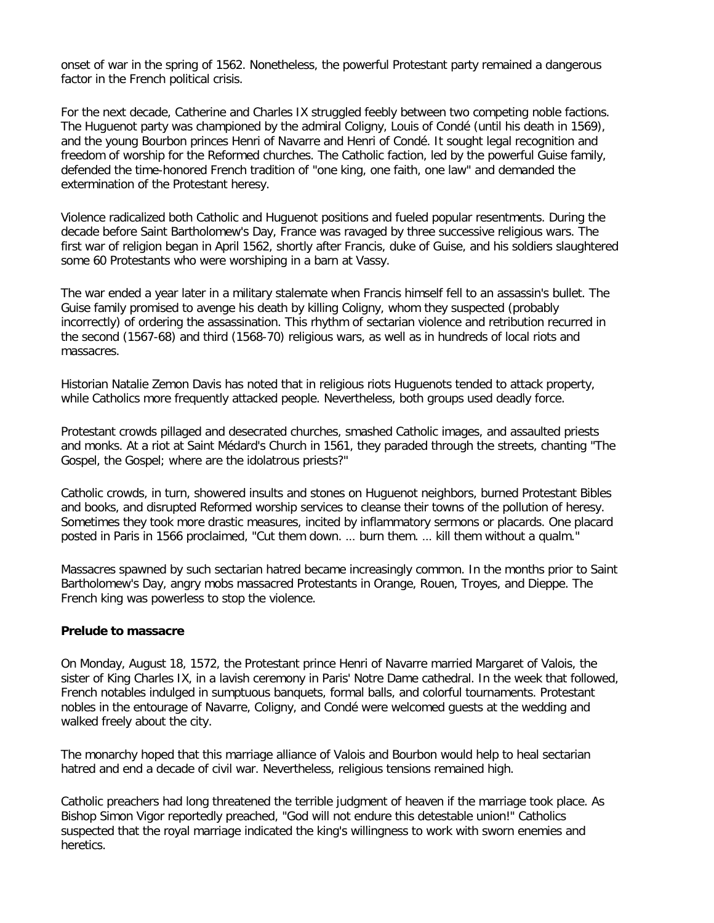onset of war in the spring of 1562. Nonetheless, the powerful Protestant party remained a dangerous factor in the French political crisis.

For the next decade, Catherine and Charles IX struggled feebly between two competing noble factions. The Huguenot party was championed by the admiral Coligny, Louis of Condé (until his death in 1569), and the young Bourbon princes Henri of Navarre and Henri of Condé. It sought legal recognition and freedom of worship for the Reformed churches. The Catholic faction, led by the powerful Guise family, defended the time-honored French tradition of "one king, one faith, one law" and demanded the extermination of the Protestant heresy.

Violence radicalized both Catholic and Huguenot positions and fueled popular resentments. During the decade before Saint Bartholomew's Day, France was ravaged by three successive religious wars. The first war of religion began in April 1562, shortly after Francis, duke of Guise, and his soldiers slaughtered some 60 Protestants who were worshiping in a barn at Vassy.

The war ended a year later in a military stalemate when Francis himself fell to an assassin's bullet. The Guise family promised to avenge his death by killing Coligny, whom they suspected (probably incorrectly) of ordering the assassination. This rhythm of sectarian violence and retribution recurred in the second (1567-68) and third (1568-70) religious wars, as well as in hundreds of local riots and massacres.

Historian Natalie Zemon Davis has noted that in religious riots Huguenots tended to attack property, while Catholics more frequently attacked people. Nevertheless, both groups used deadly force.

Protestant crowds pillaged and desecrated churches, smashed Catholic images, and assaulted priests and monks. At a riot at Saint Médard's Church in 1561, they paraded through the streets, chanting "The Gospel, the Gospel; where are the idolatrous priests?"

Catholic crowds, in turn, showered insults and stones on Huguenot neighbors, burned Protestant Bibles and books, and disrupted Reformed worship services to cleanse their towns of the pollution of heresy. Sometimes they took more drastic measures, incited by inflammatory sermons or placards. One placard posted in Paris in 1566 proclaimed, "Cut them down. … burn them. … kill them without a qualm."

Massacres spawned by such sectarian hatred became increasingly common. In the months prior to Saint Bartholomew's Day, angry mobs massacred Protestants in Orange, Rouen, Troyes, and Dieppe. The French king was powerless to stop the violence.

#### **Prelude to massacre**

On Monday, August 18, 1572, the Protestant prince Henri of Navarre married Margaret of Valois, the sister of King Charles IX, in a lavish ceremony in Paris' Notre Dame cathedral. In the week that followed, French notables indulged in sumptuous banquets, formal balls, and colorful tournaments. Protestant nobles in the entourage of Navarre, Coligny, and Condé were welcomed guests at the wedding and walked freely about the city.

The monarchy hoped that this marriage alliance of Valois and Bourbon would help to heal sectarian hatred and end a decade of civil war. Nevertheless, religious tensions remained high.

Catholic preachers had long threatened the terrible judgment of heaven if the marriage took place. As Bishop Simon Vigor reportedly preached, "God will not endure this detestable union!" Catholics suspected that the royal marriage indicated the king's willingness to work with sworn enemies and heretics.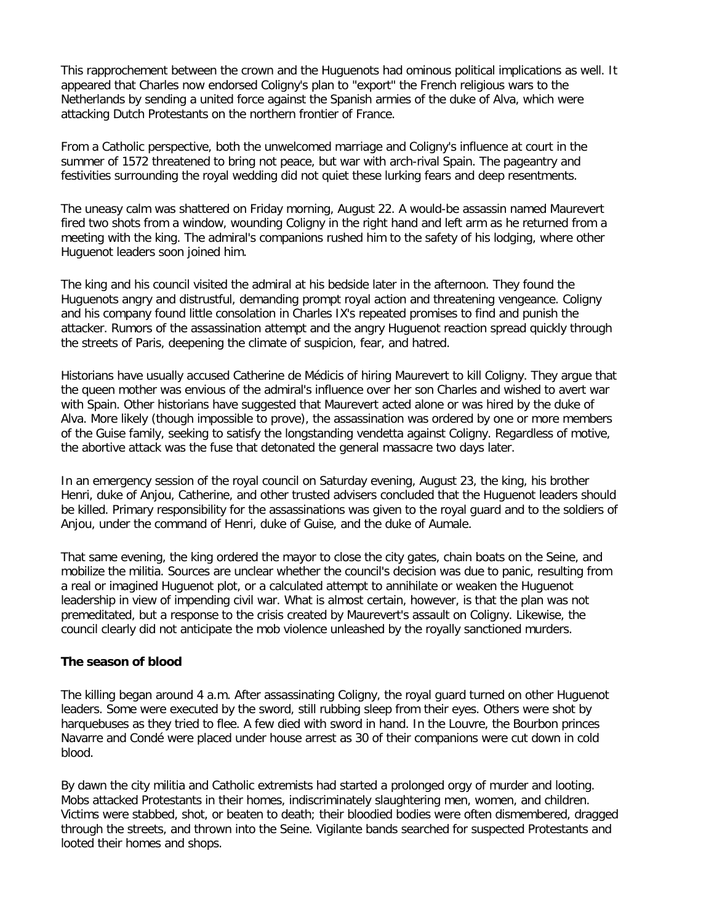This rapprochement between the crown and the Huguenots had ominous political implications as well. It appeared that Charles now endorsed Coligny's plan to "export" the French religious wars to the Netherlands by sending a united force against the Spanish armies of the duke of Alva, which were attacking Dutch Protestants on the northern frontier of France.

From a Catholic perspective, both the unwelcomed marriage and Coligny's influence at court in the summer of 1572 threatened to bring not peace, but war with arch-rival Spain. The pageantry and festivities surrounding the royal wedding did not quiet these lurking fears and deep resentments.

The uneasy calm was shattered on Friday morning, August 22. A would-be assassin named Maurevert fired two shots from a window, wounding Coligny in the right hand and left arm as he returned from a meeting with the king. The admiral's companions rushed him to the safety of his lodging, where other Huguenot leaders soon joined him.

The king and his council visited the admiral at his bedside later in the afternoon. They found the Huguenots angry and distrustful, demanding prompt royal action and threatening vengeance. Coligny and his company found little consolation in Charles IX's repeated promises to find and punish the attacker. Rumors of the assassination attempt and the angry Huguenot reaction spread quickly through the streets of Paris, deepening the climate of suspicion, fear, and hatred.

Historians have usually accused Catherine de Médicis of hiring Maurevert to kill Coligny. They argue that the queen mother was envious of the admiral's influence over her son Charles and wished to avert war with Spain. Other historians have suggested that Maurevert acted alone or was hired by the duke of Alva. More likely (though impossible to prove), the assassination was ordered by one or more members of the Guise family, seeking to satisfy the longstanding vendetta against Coligny. Regardless of motive, the abortive attack was the fuse that detonated the general massacre two days later.

In an emergency session of the royal council on Saturday evening, August 23, the king, his brother Henri, duke of Anjou, Catherine, and other trusted advisers concluded that the Huguenot leaders should be killed. Primary responsibility for the assassinations was given to the royal guard and to the soldiers of Anjou, under the command of Henri, duke of Guise, and the duke of Aumale.

That same evening, the king ordered the mayor to close the city gates, chain boats on the Seine, and mobilize the militia. Sources are unclear whether the council's decision was due to panic, resulting from a real or imagined Huguenot plot, or a calculated attempt to annihilate or weaken the Huguenot leadership in view of impending civil war. What is almost certain, however, is that the plan was not premeditated, but a response to the crisis created by Maurevert's assault on Coligny. Likewise, the council clearly did not anticipate the mob violence unleashed by the royally sanctioned murders.

#### **The season of blood**

The killing began around 4 a.m. After assassinating Coligny, the royal guard turned on other Huguenot leaders. Some were executed by the sword, still rubbing sleep from their eyes. Others were shot by harquebuses as they tried to flee. A few died with sword in hand. In the Louvre, the Bourbon princes Navarre and Condé were placed under house arrest as 30 of their companions were cut down in cold blood.

By dawn the city militia and Catholic extremists had started a prolonged orgy of murder and looting. Mobs attacked Protestants in their homes, indiscriminately slaughtering men, women, and children. Victims were stabbed, shot, or beaten to death; their bloodied bodies were often dismembered, dragged through the streets, and thrown into the Seine. Vigilante bands searched for suspected Protestants and looted their homes and shops.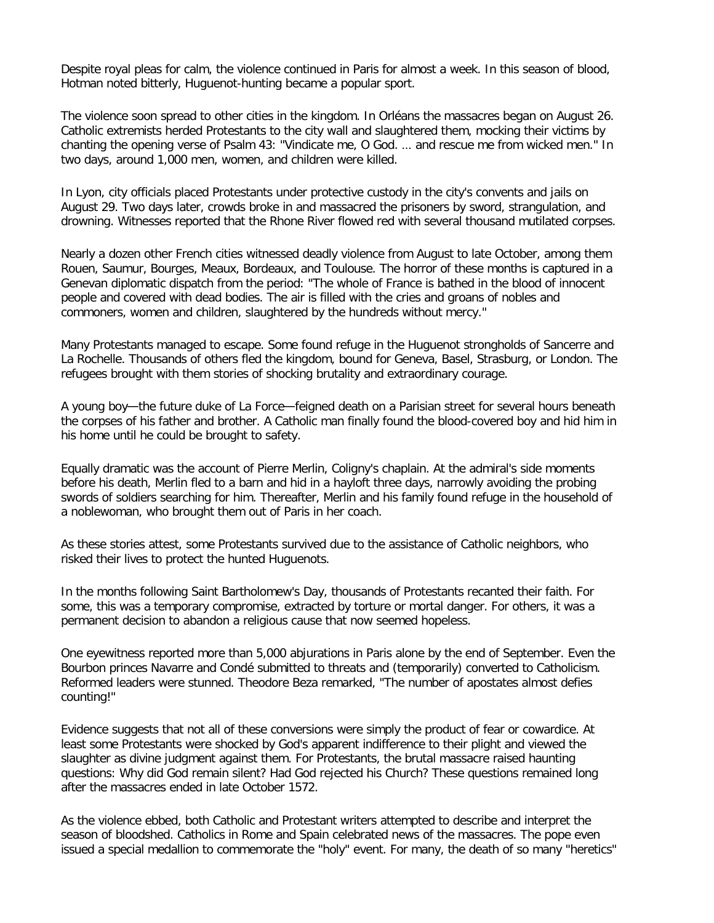Despite royal pleas for calm, the violence continued in Paris for almost a week. In this season of blood, Hotman noted bitterly, Huguenot-hunting became a popular sport.

The violence soon spread to other cities in the kingdom. In Orléans the massacres began on August 26. Catholic extremists herded Protestants to the city wall and slaughtered them, mocking their victims by chanting the opening verse of Psalm 43: "Vindicate me, O God. … and rescue me from wicked men." In two days, around 1,000 men, women, and children were killed.

In Lyon, city officials placed Protestants under protective custody in the city's convents and jails on August 29. Two days later, crowds broke in and massacred the prisoners by sword, strangulation, and drowning. Witnesses reported that the Rhone River flowed red with several thousand mutilated corpses.

Nearly a dozen other French cities witnessed deadly violence from August to late October, among them Rouen, Saumur, Bourges, Meaux, Bordeaux, and Toulouse. The horror of these months is captured in a Genevan diplomatic dispatch from the period: "The whole of France is bathed in the blood of innocent people and covered with dead bodies. The air is filled with the cries and groans of nobles and commoners, women and children, slaughtered by the hundreds without mercy."

Many Protestants managed to escape. Some found refuge in the Huguenot strongholds of Sancerre and La Rochelle. Thousands of others fled the kingdom, bound for Geneva, Basel, Strasburg, or London. The refugees brought with them stories of shocking brutality and extraordinary courage.

A young boy—the future duke of La Force—feigned death on a Parisian street for several hours beneath the corpses of his father and brother. A Catholic man finally found the blood-covered boy and hid him in his home until he could be brought to safety.

Equally dramatic was the account of Pierre Merlin, Coligny's chaplain. At the admiral's side moments before his death, Merlin fled to a barn and hid in a hayloft three days, narrowly avoiding the probing swords of soldiers searching for him. Thereafter, Merlin and his family found refuge in the household of a noblewoman, who brought them out of Paris in her coach.

As these stories attest, some Protestants survived due to the assistance of Catholic neighbors, who risked their lives to protect the hunted Huguenots.

In the months following Saint Bartholomew's Day, thousands of Protestants recanted their faith. For some, this was a temporary compromise, extracted by torture or mortal danger. For others, it was a permanent decision to abandon a religious cause that now seemed hopeless.

One eyewitness reported more than 5,000 abjurations in Paris alone by the end of September. Even the Bourbon princes Navarre and Condé submitted to threats and (temporarily) converted to Catholicism. Reformed leaders were stunned. Theodore Beza remarked, "The number of apostates almost defies counting!"

Evidence suggests that not all of these conversions were simply the product of fear or cowardice. At least some Protestants were shocked by God's apparent indifference to their plight and viewed the slaughter as divine judgment against them. For Protestants, the brutal massacre raised haunting questions: Why did God remain silent? Had God rejected his Church? These questions remained long after the massacres ended in late October 1572.

As the violence ebbed, both Catholic and Protestant writers attempted to describe and interpret the season of bloodshed. Catholics in Rome and Spain celebrated news of the massacres. The pope even issued a special medallion to commemorate the "holy" event. For many, the death of so many "heretics"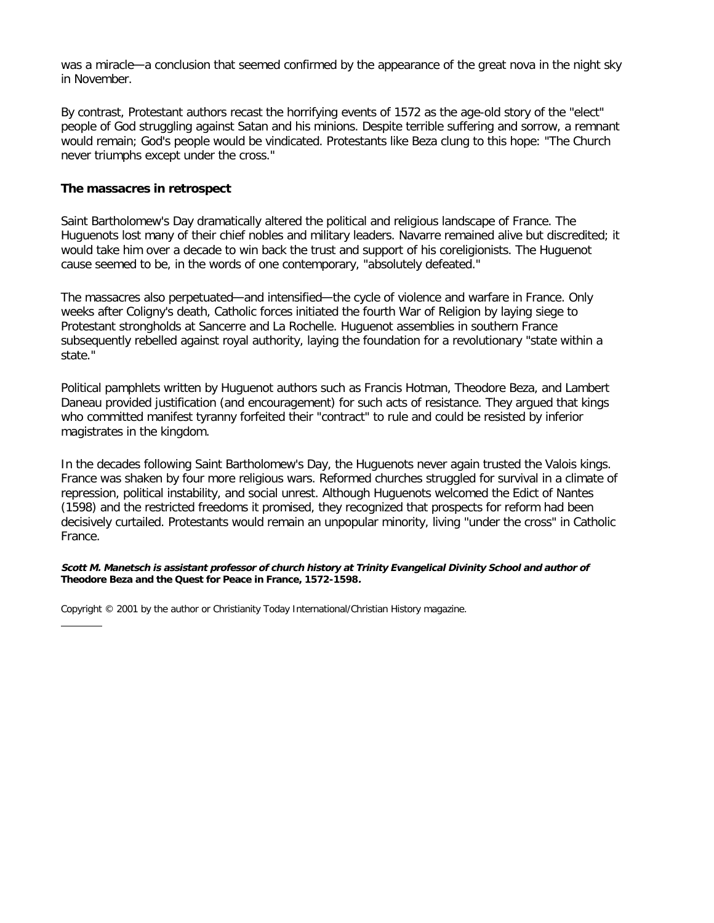was a miracle—a conclusion that seemed confirmed by the appearance of the great nova in the night sky in November.

By contrast, Protestant authors recast the horrifying events of 1572 as the age-old story of the "elect" people of God struggling against Satan and his minions. Despite terrible suffering and sorrow, a remnant would remain; God's people would be vindicated. Protestants like Beza clung to this hope: "The Church never triumphs except under the cross."

#### **The massacres in retrospect**

Saint Bartholomew's Day dramatically altered the political and religious landscape of France. The Huguenots lost many of their chief nobles and military leaders. Navarre remained alive but discredited; it would take him over a decade to win back the trust and support of his coreligionists. The Huguenot cause seemed to be, in the words of one contemporary, "absolutely defeated."

The massacres also perpetuated—and intensified—the cycle of violence and warfare in France. Only weeks after Coligny's death, Catholic forces initiated the fourth War of Religion by laying siege to Protestant strongholds at Sancerre and La Rochelle. Huguenot assemblies in southern France subsequently rebelled against royal authority, laying the foundation for a revolutionary "state within a state."

Political pamphlets written by Huguenot authors such as Francis Hotman, Theodore Beza, and Lambert Daneau provided justification (and encouragement) for such acts of resistance. They argued that kings who committed manifest tyranny forfeited their "contract" to rule and could be resisted by inferior magistrates in the kingdom.

In the decades following Saint Bartholomew's Day, the Huguenots never again trusted the Valois kings. France was shaken by four more religious wars. Reformed churches struggled for survival in a climate of repression, political instability, and social unrest. Although Huguenots welcomed the Edict of Nantes (1598) and the restricted freedoms it promised, they recognized that prospects for reform had been decisively curtailed. Protestants would remain an unpopular minority, living "under the cross" in Catholic France.

**Scott M. Manetsch is assistant professor of church history at Trinity Evangelical Divinity School and author of Theodore Beza and the Quest for Peace in France, 1572-1598.**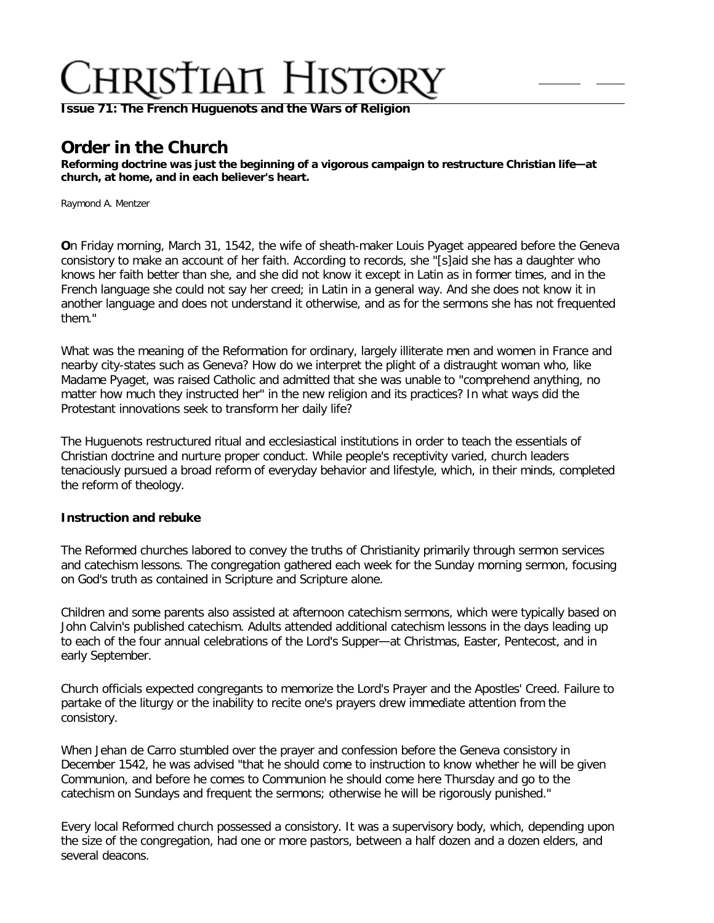# hristian Histoi

**[Issue 71: The French Huguenots and the Wars of Religion](http://ctlstaging/ch/cdrom/collection.html?id=381)**

## **Order in the Church**

**Reforming doctrine was just the beginning of a vigorous campaign to restructure Christian life—at church, at home, and in each believer's heart.**

Raymond A. Mentzer

**O**n Friday morning, March 31, 1542, the wife of sheath-maker Louis Pyaget appeared before the Geneva consistory to make an account of her faith. According to records, she "[s]aid she has a daughter who knows her faith better than she, and she did not know it except in Latin as in former times, and in the French language she could not say her creed; in Latin in a general way. And she does not know it in another language and does not understand it otherwise, and as for the sermons she has not frequented them."

What was the meaning of the Reformation for ordinary, largely illiterate men and women in France and nearby city-states such as Geneva? How do we interpret the plight of a distraught woman who, like Madame Pyaget, was raised Catholic and admitted that she was unable to "comprehend anything, no matter how much they instructed her" in the new religion and its practices? In what ways did the Protestant innovations seek to transform her daily life?

The Huguenots restructured ritual and ecclesiastical institutions in order to teach the essentials of Christian doctrine and nurture proper conduct. While people's receptivity varied, church leaders tenaciously pursued a broad reform of everyday behavior and lifestyle, which, in their minds, completed the reform of theology.

#### **Instruction and rebuke**

The Reformed churches labored to convey the truths of Christianity primarily through sermon services and catechism lessons. The congregation gathered each week for the Sunday morning sermon, focusing on God's truth as contained in Scripture and Scripture alone.

Children and some parents also assisted at afternoon catechism sermons, which were typically based on John Calvin's published catechism. Adults attended additional catechism lessons in the days leading up to each of the four annual celebrations of the Lord's Supper—at Christmas, Easter, Pentecost, and in early September.

Church officials expected congregants to memorize the Lord's Prayer and the Apostles' Creed. Failure to partake of the liturgy or the inability to recite one's prayers drew immediate attention from the consistory.

When Jehan de Carro stumbled over the prayer and confession before the Geneva consistory in December 1542, he was advised "that he should come to instruction to know whether he will be given Communion, and before he comes to Communion he should come here Thursday and go to the catechism on Sundays and frequent the sermons; otherwise he will be rigorously punished."

Every local Reformed church possessed a consistory. It was a supervisory body, which, depending upon the size of the congregation, had one or more pastors, between a half dozen and a dozen elders, and several deacons.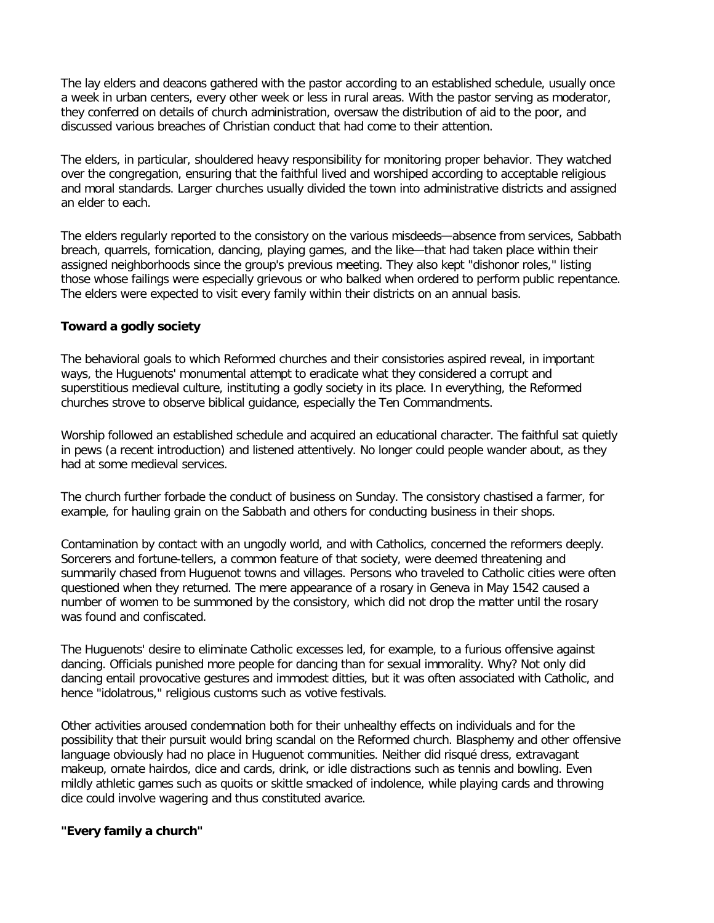The lay elders and deacons gathered with the pastor according to an established schedule, usually once a week in urban centers, every other week or less in rural areas. With the pastor serving as moderator, they conferred on details of church administration, oversaw the distribution of aid to the poor, and discussed various breaches of Christian conduct that had come to their attention.

The elders, in particular, shouldered heavy responsibility for monitoring proper behavior. They watched over the congregation, ensuring that the faithful lived and worshiped according to acceptable religious and moral standards. Larger churches usually divided the town into administrative districts and assigned an elder to each.

The elders regularly reported to the consistory on the various misdeeds—absence from services, Sabbath breach, quarrels, fornication, dancing, playing games, and the like—that had taken place within their assigned neighborhoods since the group's previous meeting. They also kept "dishonor roles," listing those whose failings were especially grievous or who balked when ordered to perform public repentance. The elders were expected to visit every family within their districts on an annual basis.

### **Toward a godly society**

The behavioral goals to which Reformed churches and their consistories aspired reveal, in important ways, the Huguenots' monumental attempt to eradicate what they considered a corrupt and superstitious medieval culture, instituting a godly society in its place. In everything, the Reformed churches strove to observe biblical guidance, especially the Ten Commandments.

Worship followed an established schedule and acquired an educational character. The faithful sat quietly in pews (a recent introduction) and listened attentively. No longer could people wander about, as they had at some medieval services.

The church further forbade the conduct of business on Sunday. The consistory chastised a farmer, for example, for hauling grain on the Sabbath and others for conducting business in their shops.

Contamination by contact with an ungodly world, and with Catholics, concerned the reformers deeply. Sorcerers and fortune-tellers, a common feature of that society, were deemed threatening and summarily chased from Huguenot towns and villages. Persons who traveled to Catholic cities were often questioned when they returned. The mere appearance of a rosary in Geneva in May 1542 caused a number of women to be summoned by the consistory, which did not drop the matter until the rosary was found and confiscated.

The Huguenots' desire to eliminate Catholic excesses led, for example, to a furious offensive against dancing. Officials punished more people for dancing than for sexual immorality. Why? Not only did dancing entail provocative gestures and immodest ditties, but it was often associated with Catholic, and hence "idolatrous," religious customs such as votive festivals.

Other activities aroused condemnation both for their unhealthy effects on individuals and for the possibility that their pursuit would bring scandal on the Reformed church. Blasphemy and other offensive language obviously had no place in Huguenot communities. Neither did risqué dress, extravagant makeup, ornate hairdos, dice and cards, drink, or idle distractions such as tennis and bowling. Even mildly athletic games such as quoits or skittle smacked of indolence, while playing cards and throwing dice could involve wagering and thus constituted avarice.

#### **"Every family a church"**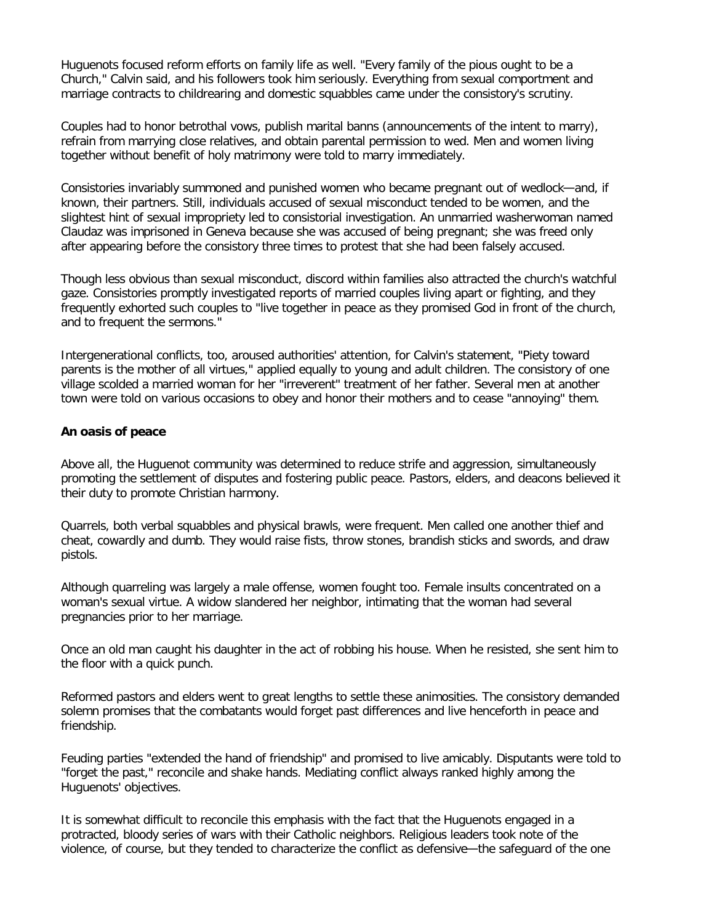Huguenots focused reform efforts on family life as well. "Every family of the pious ought to be a Church," Calvin said, and his followers took him seriously. Everything from sexual comportment and marriage contracts to childrearing and domestic squabbles came under the consistory's scrutiny.

Couples had to honor betrothal vows, publish marital banns (announcements of the intent to marry), refrain from marrying close relatives, and obtain parental permission to wed. Men and women living together without benefit of holy matrimony were told to marry immediately.

Consistories invariably summoned and punished women who became pregnant out of wedlock—and, if known, their partners. Still, individuals accused of sexual misconduct tended to be women, and the slightest hint of sexual impropriety led to consistorial investigation. An unmarried washerwoman named Claudaz was imprisoned in Geneva because she was accused of being pregnant; she was freed only after appearing before the consistory three times to protest that she had been falsely accused.

Though less obvious than sexual misconduct, discord within families also attracted the church's watchful gaze. Consistories promptly investigated reports of married couples living apart or fighting, and they frequently exhorted such couples to "live together in peace as they promised God in front of the church, and to frequent the sermons."

Intergenerational conflicts, too, aroused authorities' attention, for Calvin's statement, "Piety toward parents is the mother of all virtues," applied equally to young and adult children. The consistory of one village scolded a married woman for her "irreverent" treatment of her father. Several men at another town were told on various occasions to obey and honor their mothers and to cease "annoying" them.

#### **An oasis of peace**

Above all, the Huguenot community was determined to reduce strife and aggression, simultaneously promoting the settlement of disputes and fostering public peace. Pastors, elders, and deacons believed it their duty to promote Christian harmony.

Quarrels, both verbal squabbles and physical brawls, were frequent. Men called one another thief and cheat, cowardly and dumb. They would raise fists, throw stones, brandish sticks and swords, and draw pistols.

Although quarreling was largely a male offense, women fought too. Female insults concentrated on a woman's sexual virtue. A widow slandered her neighbor, intimating that the woman had several pregnancies prior to her marriage.

Once an old man caught his daughter in the act of robbing his house. When he resisted, she sent him to the floor with a quick punch.

Reformed pastors and elders went to great lengths to settle these animosities. The consistory demanded solemn promises that the combatants would forget past differences and live henceforth in peace and friendship.

Feuding parties "extended the hand of friendship" and promised to live amicably. Disputants were told to "forget the past," reconcile and shake hands. Mediating conflict always ranked highly among the Huguenots' objectives.

It is somewhat difficult to reconcile this emphasis with the fact that the Huguenots engaged in a protracted, bloody series of wars with their Catholic neighbors. Religious leaders took note of the violence, of course, but they tended to characterize the conflict as defensive—the safeguard of the one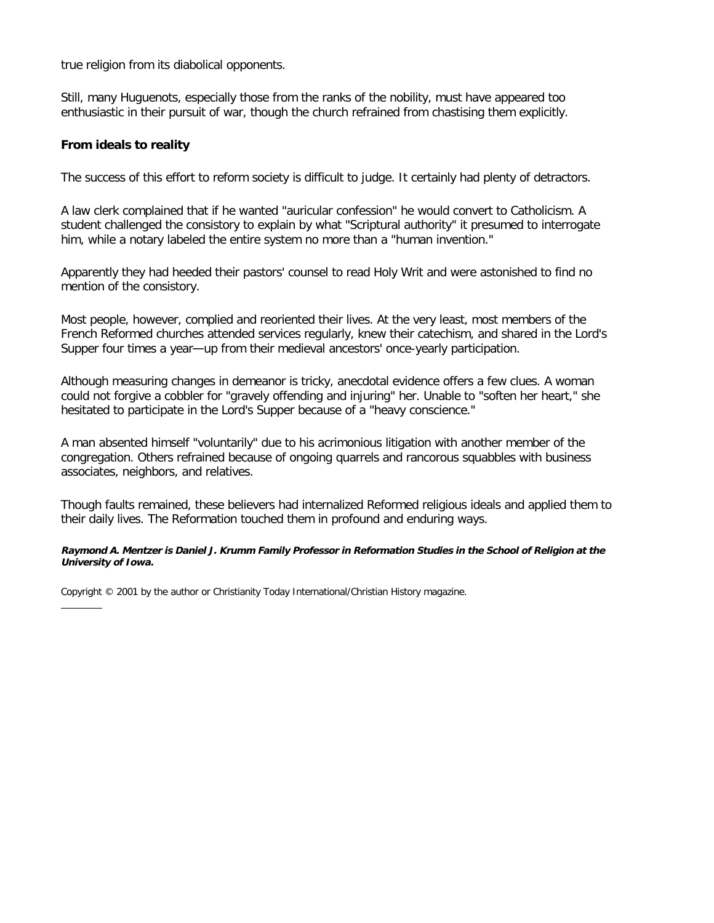true religion from its diabolical opponents.

Still, many Huguenots, especially those from the ranks of the nobility, must have appeared too enthusiastic in their pursuit of war, though the church refrained from chastising them explicitly.

#### **From ideals to reality**

The success of this effort to reform society is difficult to judge. It certainly had plenty of detractors.

A law clerk complained that if he wanted "auricular confession" he would convert to Catholicism. A student challenged the consistory to explain by what "Scriptural authority" it presumed to interrogate him, while a notary labeled the entire system no more than a "human invention."

Apparently they had heeded their pastors' counsel to read Holy Writ and were astonished to find no mention of the consistory.

Most people, however, complied and reoriented their lives. At the very least, most members of the French Reformed churches attended services regularly, knew their catechism, and shared in the Lord's Supper four times a year—up from their medieval ancestors' once-yearly participation.

Although measuring changes in demeanor is tricky, anecdotal evidence offers a few clues. A woman could not forgive a cobbler for "gravely offending and injuring" her. Unable to "soften her heart," she hesitated to participate in the Lord's Supper because of a "heavy conscience."

A man absented himself "voluntarily" due to his acrimonious litigation with another member of the congregation. Others refrained because of ongoing quarrels and rancorous squabbles with business associates, neighbors, and relatives.

Though faults remained, these believers had internalized Reformed religious ideals and applied them to their daily lives. The Reformation touched them in profound and enduring ways.

#### **Raymond A. Mentzer is Daniel J. Krumm Family Professor in Reformation Studies in the School of Religion at the University of Iowa.**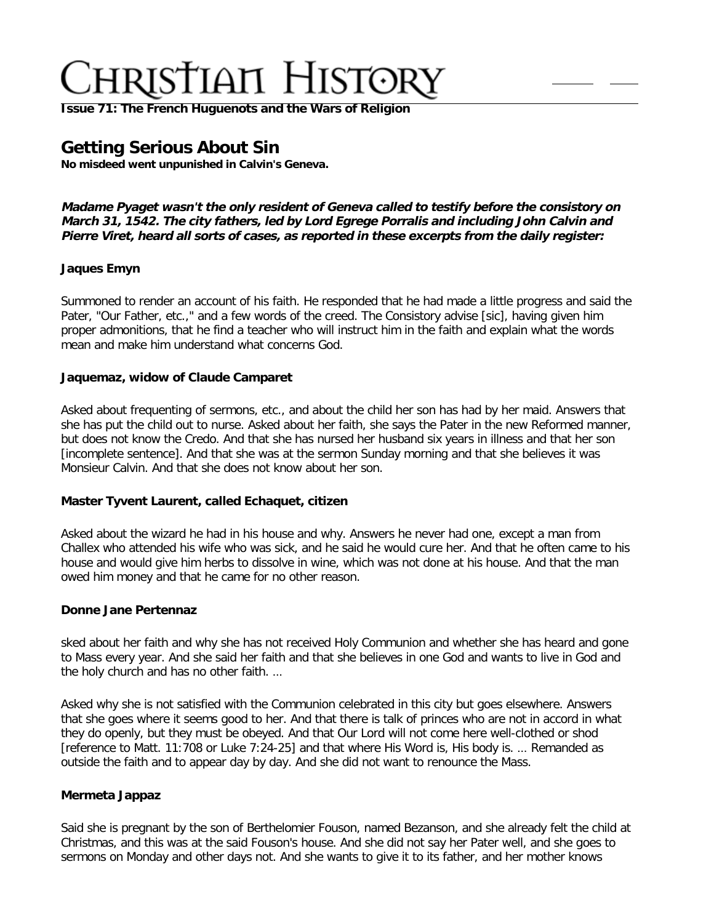# hristian Histor

**[Issue 71: The French Huguenots and the Wars of Religion](http://ctlstaging/ch/cdrom/collection.html?id=381)**

## **Getting Serious About Sin**

**No misdeed went unpunished in Calvin's Geneva.**

**Madame Pyaget wasn't the only resident of Geneva called to testify before the consistory on March 31, 1542. The city fathers, led by Lord Egrege Porralis and including John Calvin and Pierre Viret, heard all sorts of cases, as reported in these excerpts from the daily register:**

### **Jaques Emyn**

Summoned to render an account of his faith. He responded that he had made a little progress and said the Pater, "Our Father, etc.," and a few words of the creed. The Consistory advise [sic], having given him proper admonitions, that he find a teacher who will instruct him in the faith and explain what the words mean and make him understand what concerns God.

#### **Jaquemaz, widow of Claude Camparet**

Asked about frequenting of sermons, etc., and about the child her son has had by her maid. Answers that she has put the child out to nurse. Asked about her faith, she says the Pater in the new Reformed manner, but does not know the Credo. And that she has nursed her husband six years in illness and that her son [incomplete sentence]. And that she was at the sermon Sunday morning and that she believes it was Monsieur Calvin. And that she does not know about her son.

#### **Master Tyvent Laurent, called Echaquet, citizen**

Asked about the wizard he had in his house and why. Answers he never had one, except a man from Challex who attended his wife who was sick, and he said he would cure her. And that he often came to his house and would give him herbs to dissolve in wine, which was not done at his house. And that the man owed him money and that he came for no other reason.

#### **Donne Jane Pertennaz**

sked about her faith and why she has not received Holy Communion and whether she has heard and gone to Mass every year. And she said her faith and that she believes in one God and wants to live in God and the holy church and has no other faith. …

Asked why she is not satisfied with the Communion celebrated in this city but goes elsewhere. Answers that she goes where it seems good to her. And that there is talk of princes who are not in accord in what they do openly, but they must be obeyed. And that Our Lord will not come here well-clothed or shod [reference to Matt. 11:708 or Luke 7:24-25] and that where His Word is, His body is. … Remanded as outside the faith and to appear day by day. And she did not want to renounce the Mass.

#### **Mermeta Jappaz**

Said she is pregnant by the son of Berthelomier Fouson, named Bezanson, and she already felt the child at Christmas, and this was at the said Fouson's house. And she did not say her Pater well, and she goes to sermons on Monday and other days not. And she wants to give it to its father, and her mother knows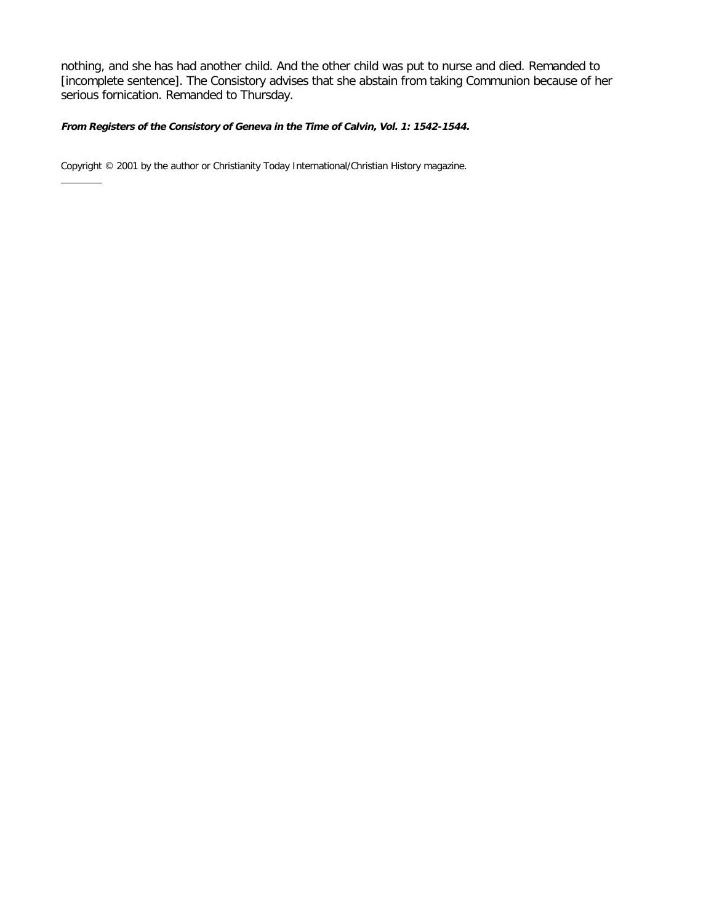nothing, and she has had another child. And the other child was put to nurse and died. Remanded to [incomplete sentence]. The Consistory advises that she abstain from taking Communion because of her serious fornication. Remanded to Thursday.

#### **From Registers of the Consistory of Geneva in the Time of Calvin, Vol. 1: 1542-1544.**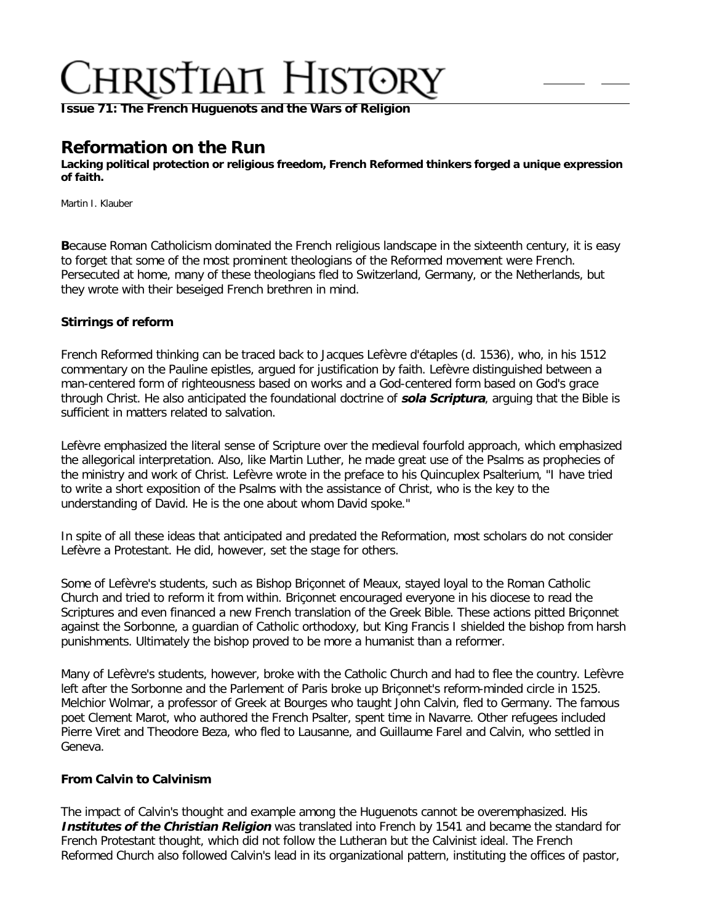# hristian Histoi

**[Issue 71: The French Huguenots and the Wars of Religion](http://ctlstaging/ch/cdrom/collection.html?id=381)**

## **Reformation on the Run**

**Lacking political protection or religious freedom, French Reformed thinkers forged a unique expression of faith.**

Martin I. Klauber

**B**ecause Roman Catholicism dominated the French religious landscape in the sixteenth century, it is easy to forget that some of the most prominent theologians of the Reformed movement were French. Persecuted at home, many of these theologians fled to Switzerland, Germany, or the Netherlands, but they wrote with their beseiged French brethren in mind.

### **Stirrings of reform**

French Reformed thinking can be traced back to Jacques Lefèvre d'étaples (d. 1536), who, in his 1512 commentary on the Pauline epistles, argued for justification by faith. Lefèvre distinguished between a man-centered form of righteousness based on works and a God-centered form based on God's grace through Christ. He also anticipated the foundational doctrine of **sola Scriptura**, arguing that the Bible is sufficient in matters related to salvation.

Lefèvre emphasized the literal sense of Scripture over the medieval fourfold approach, which emphasized the allegorical interpretation. Also, like Martin Luther, he made great use of the Psalms as prophecies of the ministry and work of Christ. Lefèvre wrote in the preface to his Quincuplex Psalterium, "I have tried to write a short exposition of the Psalms with the assistance of Christ, who is the key to the understanding of David. He is the one about whom David spoke."

In spite of all these ideas that anticipated and predated the Reformation, most scholars do not consider Lefèvre a Protestant. He did, however, set the stage for others.

Some of Lefèvre's students, such as Bishop Briçonnet of Meaux, stayed loyal to the Roman Catholic Church and tried to reform it from within. Briçonnet encouraged everyone in his diocese to read the Scriptures and even financed a new French translation of the Greek Bible. These actions pitted Briçonnet against the Sorbonne, a guardian of Catholic orthodoxy, but King Francis I shielded the bishop from harsh punishments. Ultimately the bishop proved to be more a humanist than a reformer.

Many of Lefèvre's students, however, broke with the Catholic Church and had to flee the country. Lefèvre left after the Sorbonne and the Parlement of Paris broke up Briçonnet's reform-minded circle in 1525. Melchior Wolmar, a professor of Greek at Bourges who taught John Calvin, fled to Germany. The famous poet Clement Marot, who authored the French Psalter, spent time in Navarre. Other refugees included Pierre Viret and Theodore Beza, who fled to Lausanne, and Guillaume Farel and Calvin, who settled in Geneva.

#### **From Calvin to Calvinism**

The impact of Calvin's thought and example among the Huguenots cannot be overemphasized. His **Institutes of the Christian Religion** was translated into French by 1541 and became the standard for French Protestant thought, which did not follow the Lutheran but the Calvinist ideal. The French Reformed Church also followed Calvin's lead in its organizational pattern, instituting the offices of pastor,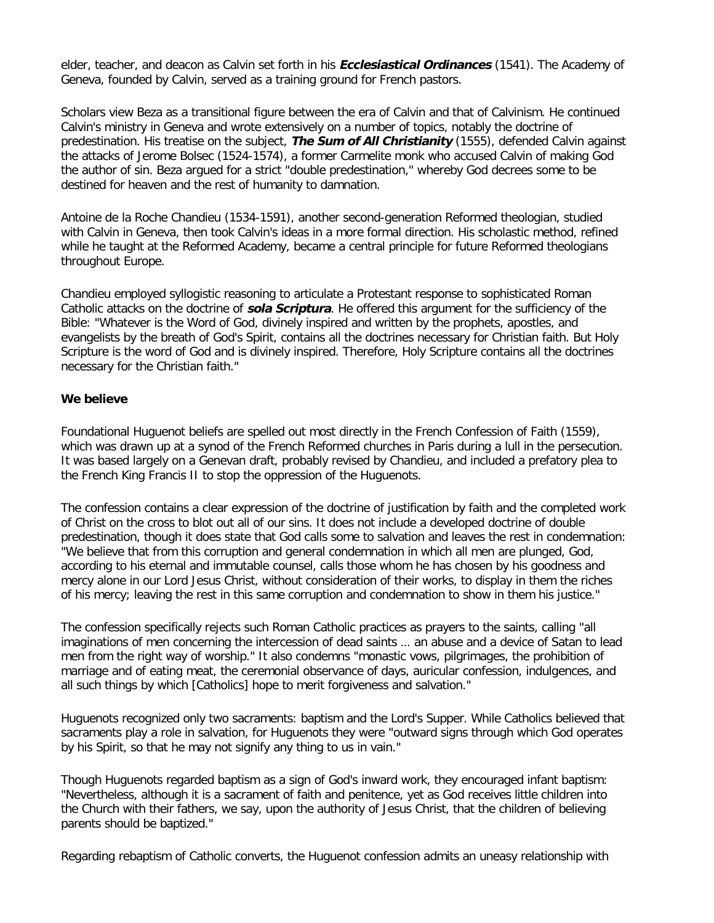elder, teacher, and deacon as Calvin set forth in his **Ecclesiastical Ordinances** (1541). The Academy of Geneva, founded by Calvin, served as a training ground for French pastors.

Scholars view Beza as a transitional figure between the era of Calvin and that of Calvinism. He continued Calvin's ministry in Geneva and wrote extensively on a number of topics, notably the doctrine of predestination. His treatise on the subject, **The Sum of All Christianity** (1555), defended Calvin against the attacks of Jerome Bolsec (1524-1574), a former Carmelite monk who accused Calvin of making God the author of sin. Beza argued for a strict "double predestination," whereby God decrees some to be destined for heaven and the rest of humanity to damnation.

Antoine de la Roche Chandieu (1534-1591), another second-generation Reformed theologian, studied with Calvin in Geneva, then took Calvin's ideas in a more formal direction. His scholastic method, refined while he taught at the Reformed Academy, became a central principle for future Reformed theologians throughout Europe.

Chandieu employed syllogistic reasoning to articulate a Protestant response to sophisticated Roman Catholic attacks on the doctrine of **sola Scriptura**. He offered this argument for the sufficiency of the Bible: "Whatever is the Word of God, divinely inspired and written by the prophets, apostles, and evangelists by the breath of God's Spirit, contains all the doctrines necessary for Christian faith. But Holy Scripture is the word of God and is divinely inspired. Therefore, Holy Scripture contains all the doctrines necessary for the Christian faith."

#### **We believe**

Foundational Huguenot beliefs are spelled out most directly in the French Confession of Faith (1559), which was drawn up at a synod of the French Reformed churches in Paris during a lull in the persecution. It was based largely on a Genevan draft, probably revised by Chandieu, and included a prefatory plea to the French King Francis II to stop the oppression of the Huguenots.

The confession contains a clear expression of the doctrine of justification by faith and the completed work of Christ on the cross to blot out all of our sins. It does not include a developed doctrine of double predestination, though it does state that God calls some to salvation and leaves the rest in condemnation: "We believe that from this corruption and general condemnation in which all men are plunged, God, according to his eternal and immutable counsel, calls those whom he has chosen by his goodness and mercy alone in our Lord Jesus Christ, without consideration of their works, to display in them the riches of his mercy; leaving the rest in this same corruption and condemnation to show in them his justice."

The confession specifically rejects such Roman Catholic practices as prayers to the saints, calling "all imaginations of men concerning the intercession of dead saints … an abuse and a device of Satan to lead men from the right way of worship." It also condemns "monastic vows, pilgrimages, the prohibition of marriage and of eating meat, the ceremonial observance of days, auricular confession, indulgences, and all such things by which [Catholics] hope to merit forgiveness and salvation."

Huguenots recognized only two sacraments: baptism and the Lord's Supper. While Catholics believed that sacraments play a role in salvation, for Huguenots they were "outward signs through which God operates by his Spirit, so that he may not signify any thing to us in vain."

Though Huguenots regarded baptism as a sign of God's inward work, they encouraged infant baptism: "Nevertheless, although it is a sacrament of faith and penitence, yet as God receives little children into the Church with their fathers, we say, upon the authority of Jesus Christ, that the children of believing parents should be baptized."

Regarding rebaptism of Catholic converts, the Huguenot confession admits an uneasy relationship with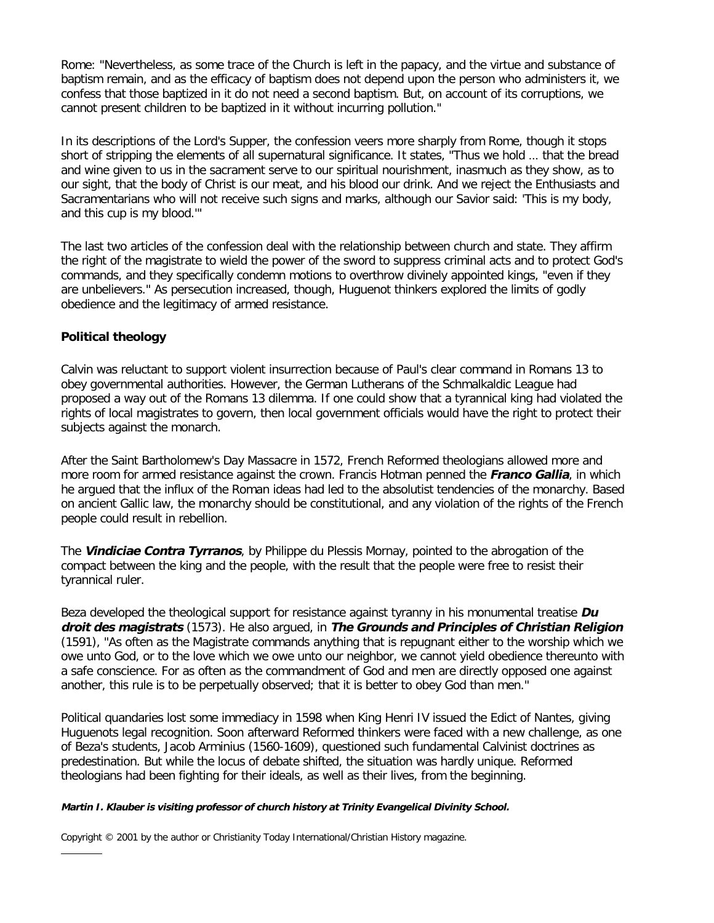Rome: "Nevertheless, as some trace of the Church is left in the papacy, and the virtue and substance of baptism remain, and as the efficacy of baptism does not depend upon the person who administers it, we confess that those baptized in it do not need a second baptism. But, on account of its corruptions, we cannot present children to be baptized in it without incurring pollution."

In its descriptions of the Lord's Supper, the confession veers more sharply from Rome, though it stops short of stripping the elements of all supernatural significance. It states, "Thus we hold … that the bread and wine given to us in the sacrament serve to our spiritual nourishment, inasmuch as they show, as to our sight, that the body of Christ is our meat, and his blood our drink. And we reject the Enthusiasts and Sacramentarians who will not receive such signs and marks, although our Savior said: 'This is my body, and this cup is my blood.'"

The last two articles of the confession deal with the relationship between church and state. They affirm the right of the magistrate to wield the power of the sword to suppress criminal acts and to protect God's commands, and they specifically condemn motions to overthrow divinely appointed kings, "even if they are unbelievers." As persecution increased, though, Huguenot thinkers explored the limits of godly obedience and the legitimacy of armed resistance.

### **Political theology**

Calvin was reluctant to support violent insurrection because of Paul's clear command in Romans 13 to obey governmental authorities. However, the German Lutherans of the Schmalkaldic League had proposed a way out of the Romans 13 dilemma. If one could show that a tyrannical king had violated the rights of local magistrates to govern, then local government officials would have the right to protect their subjects against the monarch.

After the Saint Bartholomew's Day Massacre in 1572, French Reformed theologians allowed more and more room for armed resistance against the crown. Francis Hotman penned the **Franco Gallia**, in which he argued that the influx of the Roman ideas had led to the absolutist tendencies of the monarchy. Based on ancient Gallic law, the monarchy should be constitutional, and any violation of the rights of the French people could result in rebellion.

The **Vindiciae Contra Tyrranos**, by Philippe du Plessis Mornay, pointed to the abrogation of the compact between the king and the people, with the result that the people were free to resist their tyrannical ruler.

Beza developed the theological support for resistance against tyranny in his monumental treatise **Du droit des magistrats** (1573). He also argued, in **The Grounds and Principles of Christian Religion** (1591), "As often as the Magistrate commands anything that is repugnant either to the worship which we owe unto God, or to the love which we owe unto our neighbor, we cannot yield obedience thereunto with a safe conscience. For as often as the commandment of God and men are directly opposed one against another, this rule is to be perpetually observed; that it is better to obey God than men."

Political quandaries lost some immediacy in 1598 when King Henri IV issued the Edict of Nantes, giving Huguenots legal recognition. Soon afterward Reformed thinkers were faced with a new challenge, as one of Beza's students, Jacob Arminius (1560-1609), questioned such fundamental Calvinist doctrines as predestination. But while the locus of debate shifted, the situation was hardly unique. Reformed theologians had been fighting for their ideals, as well as their lives, from the beginning.

#### **Martin I. Klauber is visiting professor of church history at Trinity Evangelical Divinity School.**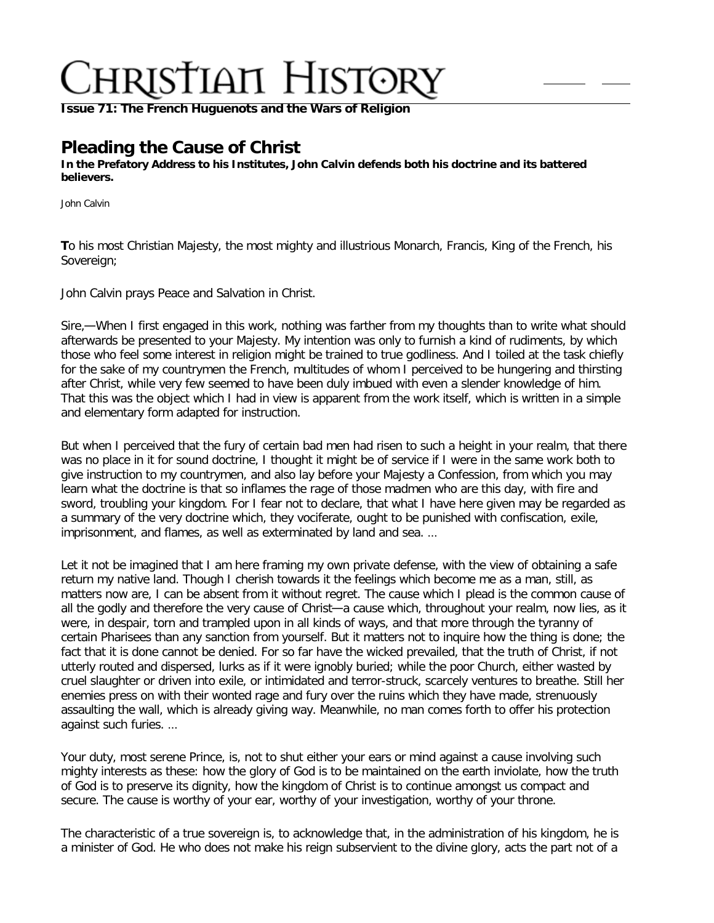# hristian Histoi

**[Issue 71: The French Huguenots and the Wars of Religion](http://ctlstaging/ch/cdrom/collection.html?id=381)**

## **Pleading the Cause of Christ**

**In the Prefatory Address to his Institutes, John Calvin defends both his doctrine and its battered believers.**

John Calvin

**T**o his most Christian Majesty, the most mighty and illustrious Monarch, Francis, King of the French, his Sovereign;

John Calvin prays Peace and Salvation in Christ.

Sire,—When I first engaged in this work, nothing was farther from my thoughts than to write what should afterwards be presented to your Majesty. My intention was only to furnish a kind of rudiments, by which those who feel some interest in religion might be trained to true godliness. And I toiled at the task chiefly for the sake of my countrymen the French, multitudes of whom I perceived to be hungering and thirsting after Christ, while very few seemed to have been duly imbued with even a slender knowledge of him. That this was the object which I had in view is apparent from the work itself, which is written in a simple and elementary form adapted for instruction.

But when I perceived that the fury of certain bad men had risen to such a height in your realm, that there was no place in it for sound doctrine, I thought it might be of service if I were in the same work both to give instruction to my countrymen, and also lay before your Majesty a Confession, from which you may learn what the doctrine is that so inflames the rage of those madmen who are this day, with fire and sword, troubling your kingdom. For I fear not to declare, that what I have here given may be regarded as a summary of the very doctrine which, they vociferate, ought to be punished with confiscation, exile, imprisonment, and flames, as well as exterminated by land and sea. …

Let it not be imagined that I am here framing my own private defense, with the view of obtaining a safe return my native land. Though I cherish towards it the feelings which become me as a man, still, as matters now are, I can be absent from it without regret. The cause which I plead is the common cause of all the godly and therefore the very cause of Christ—a cause which, throughout your realm, now lies, as it were, in despair, torn and trampled upon in all kinds of ways, and that more through the tyranny of certain Pharisees than any sanction from yourself. But it matters not to inquire how the thing is done; the fact that it is done cannot be denied. For so far have the wicked prevailed, that the truth of Christ, if not utterly routed and dispersed, lurks as if it were ignobly buried; while the poor Church, either wasted by cruel slaughter or driven into exile, or intimidated and terror-struck, scarcely ventures to breathe. Still her enemies press on with their wonted rage and fury over the ruins which they have made, strenuously assaulting the wall, which is already giving way. Meanwhile, no man comes forth to offer his protection against such furies. …

Your duty, most serene Prince, is, not to shut either your ears or mind against a cause involving such mighty interests as these: how the glory of God is to be maintained on the earth inviolate, how the truth of God is to preserve its dignity, how the kingdom of Christ is to continue amongst us compact and secure. The cause is worthy of your ear, worthy of your investigation, worthy of your throne.

The characteristic of a true sovereign is, to acknowledge that, in the administration of his kingdom, he is a minister of God. He who does not make his reign subservient to the divine glory, acts the part not of a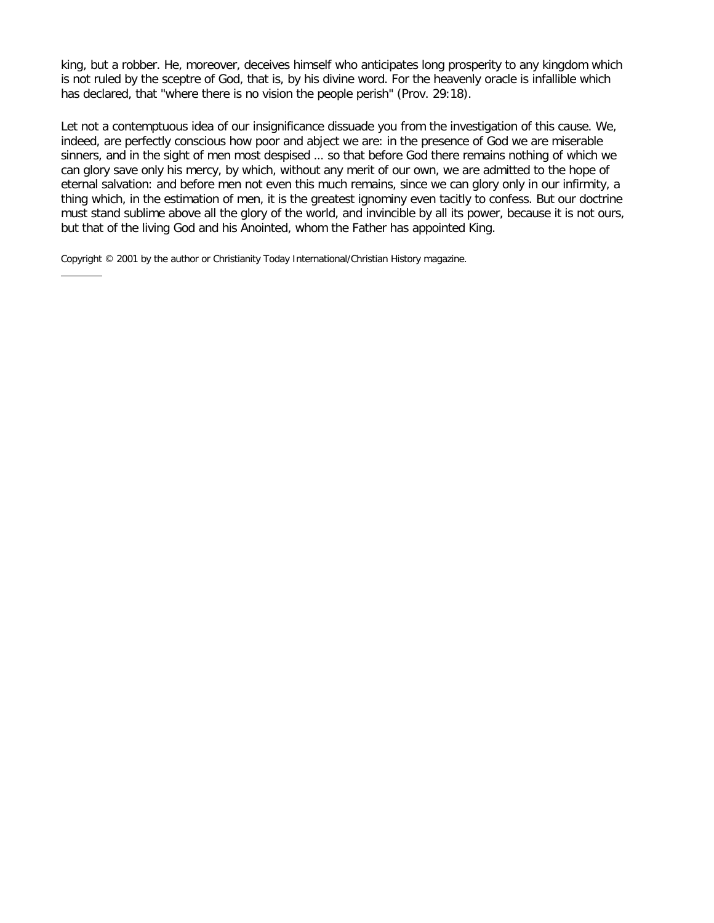king, but a robber. He, moreover, deceives himself who anticipates long prosperity to any kingdom which is not ruled by the sceptre of God, that is, by his divine word. For the heavenly oracle is infallible which has declared, that "where there is no vision the people perish" (Prov. 29:18).

Let not a contemptuous idea of our insignificance dissuade you from the investigation of this cause. We, indeed, are perfectly conscious how poor and abject we are: in the presence of God we are miserable sinners, and in the sight of men most despised … so that before God there remains nothing of which we can glory save only his mercy, by which, without any merit of our own, we are admitted to the hope of eternal salvation: and before men not even this much remains, since we can glory only in our infirmity, a thing which, in the estimation of men, it is the greatest ignominy even tacitly to confess. But our doctrine must stand sublime above all the glory of the world, and invincible by all its power, because it is not ours, but that of the living God and his Anointed, whom the Father has appointed King.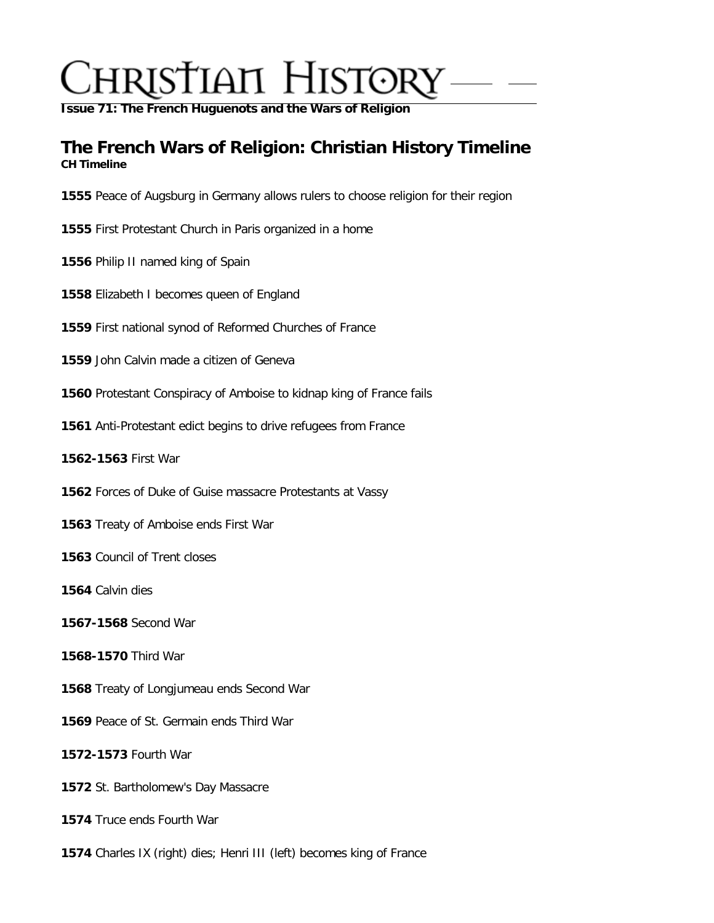# Christian Histor

**[Issue 71: The French Huguenots and the Wars of Religion](http://ctlstaging/ch/cdrom/collection.html?id=381)**

## **The French Wars of Religion: Christian History Timeline CH Timeline**

- Peace of Augsburg in Germany allows rulers to choose religion for their region
- First Protestant Church in Paris organized in a home
- Philip II named king of Spain
- Elizabeth I becomes queen of England
- First national synod of Reformed Churches of France
- John Calvin made a citizen of Geneva
- Protestant Conspiracy of Amboise to kidnap king of France fails
- Anti-Protestant edict begins to drive refugees from France
- **1562-1563** First War
- Forces of Duke of Guise massacre Protestants at Vassy
- Treaty of Amboise ends First War
- Council of Trent closes
- Calvin dies
- **1567-1568** Second War
- **1568-1570** Third War
- Treaty of Longjumeau ends Second War
- Peace of St. Germain ends Third War
- **1572-1573** Fourth War
- St. Bartholomew's Day Massacre
- Truce ends Fourth War
- Charles IX (right) dies; Henri III (left) becomes king of France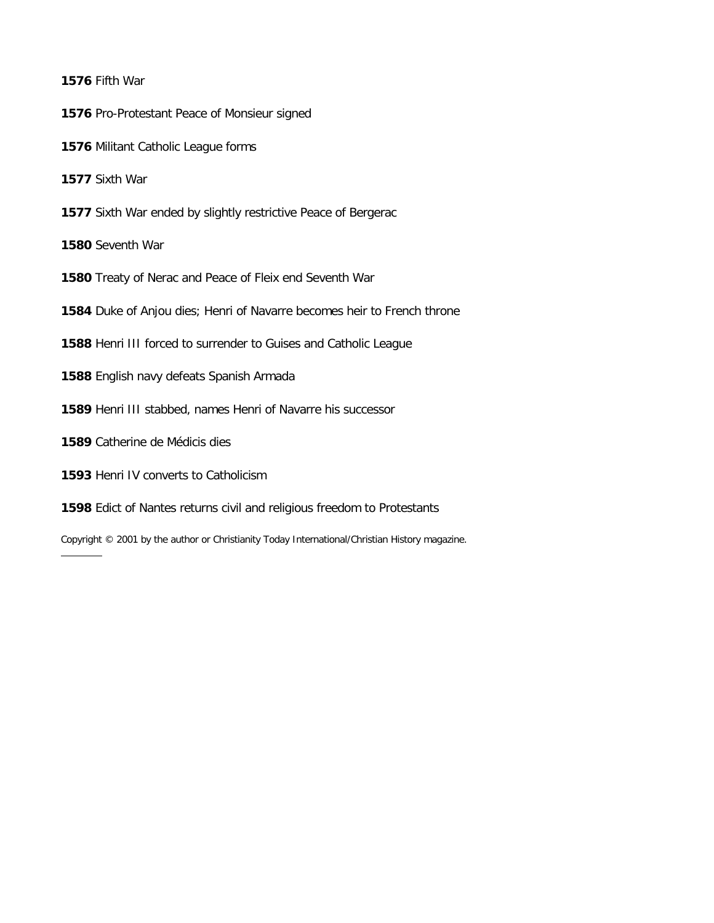#### Fifth War

- Pro-Protestant Peace of Monsieur signed
- Militant Catholic League forms
- Sixth War
- Sixth War ended by slightly restrictive Peace of Bergerac
- Seventh War
- Treaty of Nerac and Peace of Fleix end Seventh War
- Duke of Anjou dies; Henri of Navarre becomes heir to French throne
- Henri III forced to surrender to Guises and Catholic League
- English navy defeats Spanish Armada
- Henri III stabbed, names Henri of Navarre his successor
- Catherine de Médicis dies
- Henri IV converts to Catholicism
- Edict of Nantes returns civil and religious freedom to Protestants
- Copyright © 2001 by the author or Christianity Today International/Christian History magazine.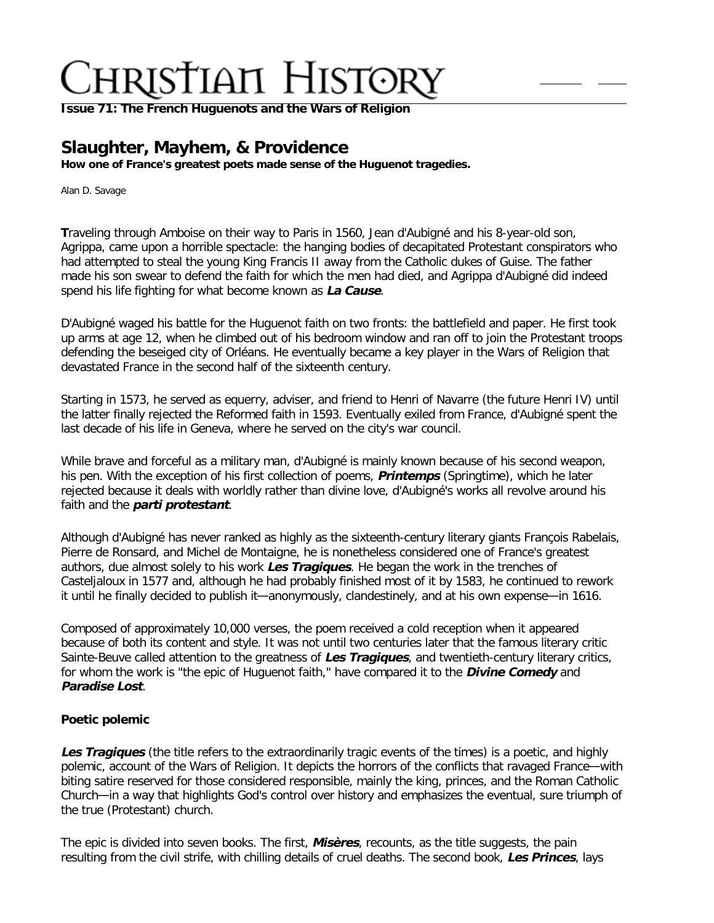# hristian Histoi

**[Issue 71: The French Huguenots and the Wars of Religion](http://ctlstaging/ch/cdrom/collection.html?id=381)**

## **Slaughter, Mayhem, & Providence**

**How one of France's greatest poets made sense of the Huguenot tragedies.**

Alan D. Savage

**T**raveling through Amboise on their way to Paris in 1560, Jean d'Aubigné and his 8-year-old son, Agrippa, came upon a horrible spectacle: the hanging bodies of decapitated Protestant conspirators who had attempted to steal the young King Francis II away from the Catholic dukes of Guise. The father made his son swear to defend the faith for which the men had died, and Agrippa d'Aubigné did indeed spend his life fighting for what become known as **La Cause**.

D'Aubigné waged his battle for the Huguenot faith on two fronts: the battlefield and paper. He first took up arms at age 12, when he climbed out of his bedroom window and ran off to join the Protestant troops defending the beseiged city of Orléans. He eventually became a key player in the Wars of Religion that devastated France in the second half of the sixteenth century.

Starting in 1573, he served as equerry, adviser, and friend to Henri of Navarre (the future Henri IV) until the latter finally rejected the Reformed faith in 1593. Eventually exiled from France, d'Aubigné spent the last decade of his life in Geneva, where he served on the city's war council.

While brave and forceful as a military man, d'Aubigné is mainly known because of his second weapon, his pen. With the exception of his first collection of poems, **Printemps** (Springtime), which he later rejected because it deals with worldly rather than divine love, d'Aubigné's works all revolve around his faith and the **parti protestant**.

Although d'Aubigné has never ranked as highly as the sixteenth-century literary giants François Rabelais, Pierre de Ronsard, and Michel de Montaigne, he is nonetheless considered one of France's greatest authors, due almost solely to his work **Les Tragiques**. He began the work in the trenches of Casteljaloux in 1577 and, although he had probably finished most of it by 1583, he continued to rework it until he finally decided to publish it—anonymously, clandestinely, and at his own expense—in 1616.

Composed of approximately 10,000 verses, the poem received a cold reception when it appeared because of both its content and style. It was not until two centuries later that the famous literary critic Sainte-Beuve called attention to the greatness of **Les Tragiques**, and twentieth-century literary critics, for whom the work is "the epic of Huguenot faith," have compared it to the **Divine Comedy** and **Paradise Lost**.

#### **Poetic polemic**

Les Tragiques (the title refers to the extraordinarily tragic events of the times) is a poetic, and highly polemic, account of the Wars of Religion. It depicts the horrors of the conflicts that ravaged France—with biting satire reserved for those considered responsible, mainly the king, princes, and the Roman Catholic Church—in a way that highlights God's control over history and emphasizes the eventual, sure triumph of the true (Protestant) church.

The epic is divided into seven books. The first, **Misères**, recounts, as the title suggests, the pain resulting from the civil strife, with chilling details of cruel deaths. The second book, **Les Princes**, lays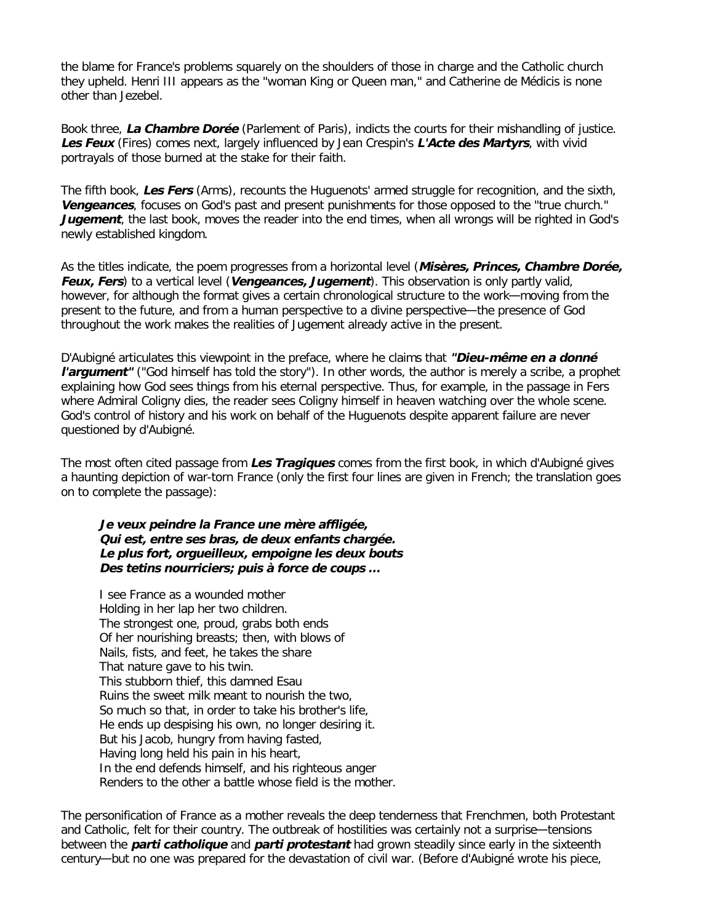the blame for France's problems squarely on the shoulders of those in charge and the Catholic church they upheld. Henri III appears as the "woman King or Queen man," and Catherine de Médicis is none other than Jezebel.

Book three, **La Chambre Dorée** (Parlement of Paris), indicts the courts for their mishandling of justice. **Les Feux** (Fires) comes next, largely influenced by Jean Crespin's **L'Acte des Martyrs**, with vivid portrayals of those burned at the stake for their faith.

The fifth book, **Les Fers** (Arms), recounts the Huguenots' armed struggle for recognition, and the sixth, **Vengeances**, focuses on God's past and present punishments for those opposed to the "true church." **Jugement**, the last book, moves the reader into the end times, when all wrongs will be righted in God's newly established kingdom.

As the titles indicate, the poem progresses from a horizontal level (**Misères, Princes, Chambre Dorée, Feux, Fers**) to a vertical level (**Vengeances, Jugement**). This observation is only partly valid, however, for although the format gives a certain chronological structure to the work—moving from the present to the future, and from a human perspective to a divine perspective—the presence of God throughout the work makes the realities of Jugement already active in the present.

D'Aubigné articulates this viewpoint in the preface, where he claims that **"Dieu-même en a donné l'argument"** ("God himself has told the story"). In other words, the author is merely a scribe, a prophet explaining how God sees things from his eternal perspective. Thus, for example, in the passage in Fers where Admiral Coligny dies, the reader sees Coligny himself in heaven watching over the whole scene. God's control of history and his work on behalf of the Huguenots despite apparent failure are never questioned by d'Aubigné.

The most often cited passage from **Les Tragiques** comes from the first book, in which d'Aubigné gives a haunting depiction of war-torn France (only the first four lines are given in French; the translation goes on to complete the passage):

**Je veux peindre la France une mère affligée, Qui est, entre ses bras, de deux enfants chargée. Le plus fort, orgueilleux, empoigne les deux bouts Des tetins nourriciers; puis à force de coups …**

I see France as a wounded mother Holding in her lap her two children. The strongest one, proud, grabs both ends Of her nourishing breasts; then, with blows of Nails, fists, and feet, he takes the share That nature gave to his twin. This stubborn thief, this damned Esau Ruins the sweet milk meant to nourish the two, So much so that, in order to take his brother's life, He ends up despising his own, no longer desiring it. But his Jacob, hungry from having fasted, Having long held his pain in his heart, In the end defends himself, and his righteous anger Renders to the other a battle whose field is the mother.

The personification of France as a mother reveals the deep tenderness that Frenchmen, both Protestant and Catholic, felt for their country. The outbreak of hostilities was certainly not a surprise—tensions between the **parti catholique** and **parti protestant** had grown steadily since early in the sixteenth century—but no one was prepared for the devastation of civil war. (Before d'Aubigné wrote his piece,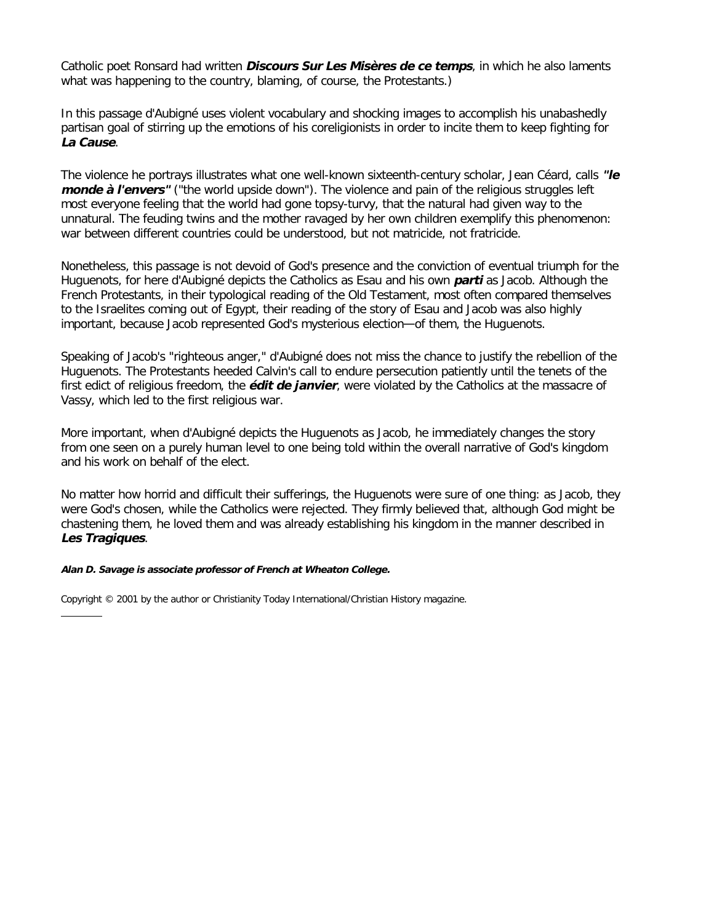Catholic poet Ronsard had written **Discours Sur Les Misères de ce temps**, in which he also laments what was happening to the country, blaming, of course, the Protestants.)

In this passage d'Aubigné uses violent vocabulary and shocking images to accomplish his unabashedly partisan goal of stirring up the emotions of his coreligionists in order to incite them to keep fighting for **La Cause**.

The violence he portrays illustrates what one well-known sixteenth-century scholar, Jean Céard, calls **"le monde à l'envers"** ("the world upside down"). The violence and pain of the religious struggles left most everyone feeling that the world had gone topsy-turvy, that the natural had given way to the unnatural. The feuding twins and the mother ravaged by her own children exemplify this phenomenon: war between different countries could be understood, but not matricide, not fratricide.

Nonetheless, this passage is not devoid of God's presence and the conviction of eventual triumph for the Huguenots, for here d'Aubigné depicts the Catholics as Esau and his own **parti** as Jacob. Although the French Protestants, in their typological reading of the Old Testament, most often compared themselves to the Israelites coming out of Egypt, their reading of the story of Esau and Jacob was also highly important, because Jacob represented God's mysterious election—of them, the Huguenots.

Speaking of Jacob's "righteous anger," d'Aubigné does not miss the chance to justify the rebellion of the Huguenots. The Protestants heeded Calvin's call to endure persecution patiently until the tenets of the first edict of religious freedom, the **édit de janvier**, were violated by the Catholics at the massacre of Vassy, which led to the first religious war.

More important, when d'Aubigné depicts the Huguenots as Jacob, he immediately changes the story from one seen on a purely human level to one being told within the overall narrative of God's kingdom and his work on behalf of the elect.

No matter how horrid and difficult their sufferings, the Huguenots were sure of one thing: as Jacob, they were God's chosen, while the Catholics were rejected. They firmly believed that, although God might be chastening them, he loved them and was already establishing his kingdom in the manner described in **Les Tragiques**.

#### **Alan D. Savage is associate professor of French at Wheaton College.**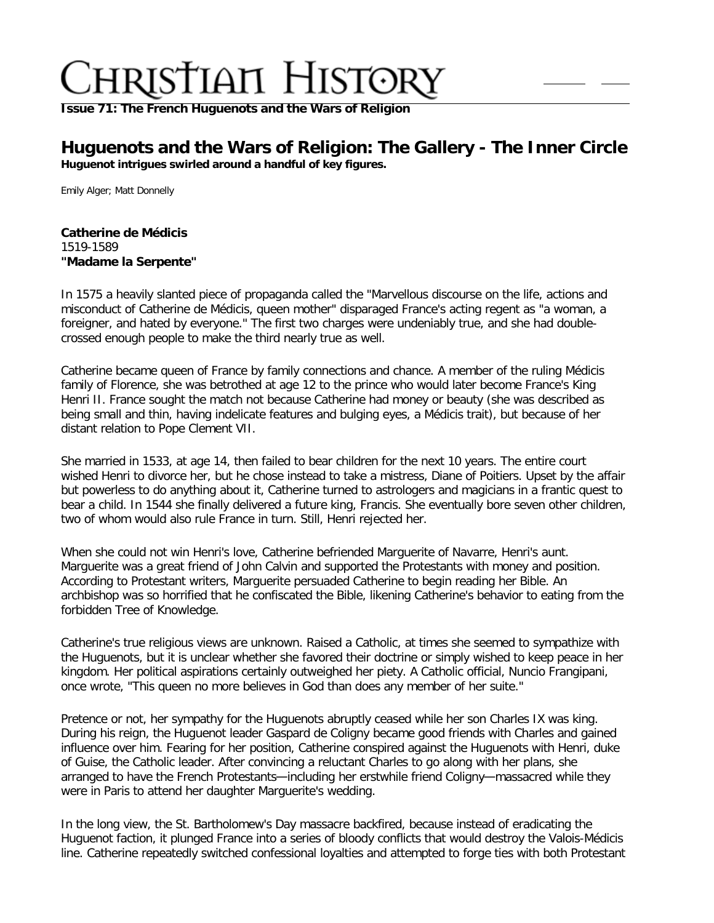# Christian Histor

**[Issue 71: The French Huguenots and the Wars of Religion](http://ctlstaging/ch/cdrom/collection.html?id=381)**

## **Huguenots and the Wars of Religion: The Gallery - The Inner Circle Huguenot intrigues swirled around a handful of key figures.**

Emily Alger; Matt Donnelly

**Catherine de Médicis** 1519-1589 **"Madame la Serpente"**

In 1575 a heavily slanted piece of propaganda called the "Marvellous discourse on the life, actions and misconduct of Catherine de Médicis, queen mother" disparaged France's acting regent as "a woman, a foreigner, and hated by everyone." The first two charges were undeniably true, and she had doublecrossed enough people to make the third nearly true as well.

Catherine became queen of France by family connections and chance. A member of the ruling Médicis family of Florence, she was betrothed at age 12 to the prince who would later become France's King Henri II. France sought the match not because Catherine had money or beauty (she was described as being small and thin, having indelicate features and bulging eyes, a Médicis trait), but because of her distant relation to Pope Clement VII.

She married in 1533, at age 14, then failed to bear children for the next 10 years. The entire court wished Henri to divorce her, but he chose instead to take a mistress, Diane of Poitiers. Upset by the affair but powerless to do anything about it, Catherine turned to astrologers and magicians in a frantic quest to bear a child. In 1544 she finally delivered a future king, Francis. She eventually bore seven other children, two of whom would also rule France in turn. Still, Henri rejected her.

When she could not win Henri's love, Catherine befriended Marguerite of Navarre, Henri's aunt. Marguerite was a great friend of John Calvin and supported the Protestants with money and position. According to Protestant writers, Marguerite persuaded Catherine to begin reading her Bible. An archbishop was so horrified that he confiscated the Bible, likening Catherine's behavior to eating from the forbidden Tree of Knowledge.

Catherine's true religious views are unknown. Raised a Catholic, at times she seemed to sympathize with the Huguenots, but it is unclear whether she favored their doctrine or simply wished to keep peace in her kingdom. Her political aspirations certainly outweighed her piety. A Catholic official, Nuncio Frangipani, once wrote, "This queen no more believes in God than does any member of her suite."

Pretence or not, her sympathy for the Huguenots abruptly ceased while her son Charles IX was king. During his reign, the Huguenot leader Gaspard de Coligny became good friends with Charles and gained influence over him. Fearing for her position, Catherine conspired against the Huguenots with Henri, duke of Guise, the Catholic leader. After convincing a reluctant Charles to go along with her plans, she arranged to have the French Protestants—including her erstwhile friend Coligny—massacred while they were in Paris to attend her daughter Marguerite's wedding.

In the long view, the St. Bartholomew's Day massacre backfired, because instead of eradicating the Huguenot faction, it plunged France into a series of bloody conflicts that would destroy the Valois-Médicis line. Catherine repeatedly switched confessional loyalties and attempted to forge ties with both Protestant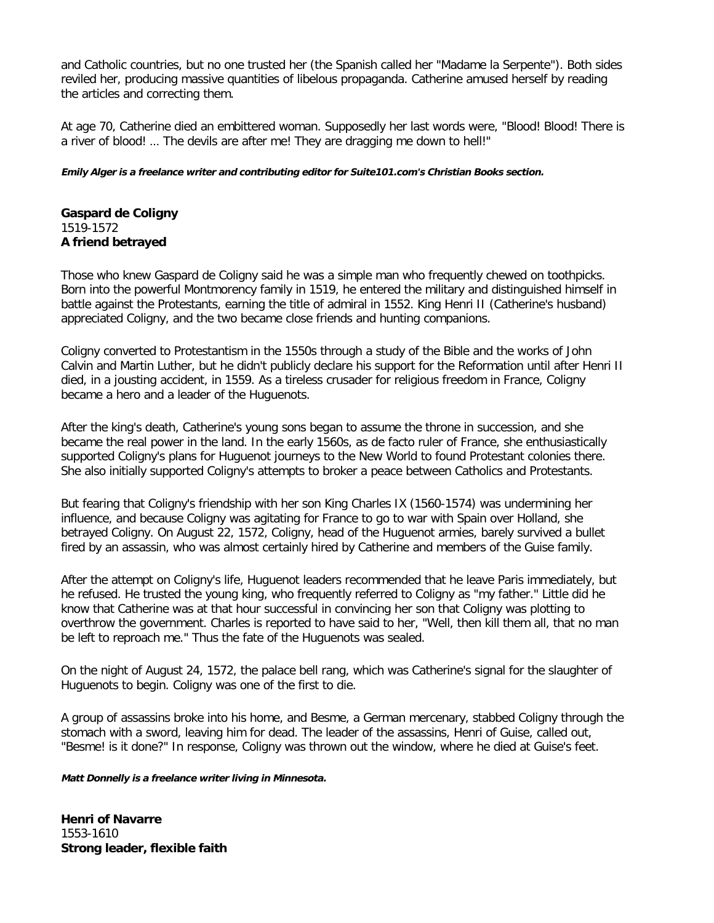and Catholic countries, but no one trusted her (the Spanish called her "Madame la Serpente"). Both sides reviled her, producing massive quantities of libelous propaganda. Catherine amused herself by reading the articles and correcting them.

At age 70, Catherine died an embittered woman. Supposedly her last words were, "Blood! Blood! There is a river of blood! … The devils are after me! They are dragging me down to hell!"

#### **Emily Alger is a freelance writer and contributing editor for Suite101.com's Christian Books section.**

#### **Gaspard de Coligny** 1519-1572 **A friend betrayed**

Those who knew Gaspard de Coligny said he was a simple man who frequently chewed on toothpicks. Born into the powerful Montmorency family in 1519, he entered the military and distinguished himself in battle against the Protestants, earning the title of admiral in 1552. King Henri II (Catherine's husband) appreciated Coligny, and the two became close friends and hunting companions.

Coligny converted to Protestantism in the 1550s through a study of the Bible and the works of John Calvin and Martin Luther, but he didn't publicly declare his support for the Reformation until after Henri II died, in a jousting accident, in 1559. As a tireless crusader for religious freedom in France, Coligny became a hero and a leader of the Huguenots.

After the king's death, Catherine's young sons began to assume the throne in succession, and she became the real power in the land. In the early 1560s, as de facto ruler of France, she enthusiastically supported Coligny's plans for Huguenot journeys to the New World to found Protestant colonies there. She also initially supported Coligny's attempts to broker a peace between Catholics and Protestants.

But fearing that Coligny's friendship with her son King Charles IX (1560-1574) was undermining her influence, and because Coligny was agitating for France to go to war with Spain over Holland, she betrayed Coligny. On August 22, 1572, Coligny, head of the Huguenot armies, barely survived a bullet fired by an assassin, who was almost certainly hired by Catherine and members of the Guise family.

After the attempt on Coligny's life, Huguenot leaders recommended that he leave Paris immediately, but he refused. He trusted the young king, who frequently referred to Coligny as "my father." Little did he know that Catherine was at that hour successful in convincing her son that Coligny was plotting to overthrow the government. Charles is reported to have said to her, "Well, then kill them all, that no man be left to reproach me." Thus the fate of the Huguenots was sealed.

On the night of August 24, 1572, the palace bell rang, which was Catherine's signal for the slaughter of Huguenots to begin. Coligny was one of the first to die.

A group of assassins broke into his home, and Besme, a German mercenary, stabbed Coligny through the stomach with a sword, leaving him for dead. The leader of the assassins, Henri of Guise, called out, "Besme! is it done?" In response, Coligny was thrown out the window, where he died at Guise's feet.

**Matt Donnelly is a freelance writer living in Minnesota.**

**Henri of Navarre** 1553-1610 **Strong leader, flexible faith**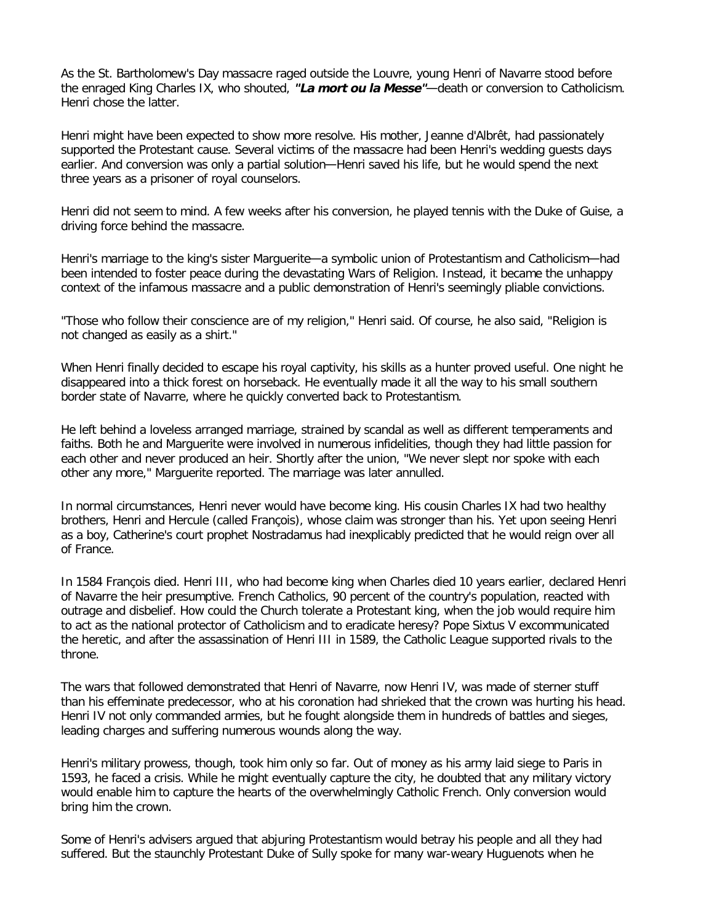As the St. Bartholomew's Day massacre raged outside the Louvre, young Henri of Navarre stood before the enraged King Charles IX, who shouted, **"La mort ou la Messe"**—death or conversion to Catholicism. Henri chose the latter.

Henri might have been expected to show more resolve. His mother, Jeanne d'Albrêt, had passionately supported the Protestant cause. Several victims of the massacre had been Henri's wedding guests days earlier. And conversion was only a partial solution—Henri saved his life, but he would spend the next three years as a prisoner of royal counselors.

Henri did not seem to mind. A few weeks after his conversion, he played tennis with the Duke of Guise, a driving force behind the massacre.

Henri's marriage to the king's sister Marguerite—a symbolic union of Protestantism and Catholicism—had been intended to foster peace during the devastating Wars of Religion. Instead, it became the unhappy context of the infamous massacre and a public demonstration of Henri's seemingly pliable convictions.

"Those who follow their conscience are of my religion," Henri said. Of course, he also said, "Religion is not changed as easily as a shirt."

When Henri finally decided to escape his royal captivity, his skills as a hunter proved useful. One night he disappeared into a thick forest on horseback. He eventually made it all the way to his small southern border state of Navarre, where he quickly converted back to Protestantism.

He left behind a loveless arranged marriage, strained by scandal as well as different temperaments and faiths. Both he and Marguerite were involved in numerous infidelities, though they had little passion for each other and never produced an heir. Shortly after the union, "We never slept nor spoke with each other any more," Marguerite reported. The marriage was later annulled.

In normal circumstances, Henri never would have become king. His cousin Charles IX had two healthy brothers, Henri and Hercule (called François), whose claim was stronger than his. Yet upon seeing Henri as a boy, Catherine's court prophet Nostradamus had inexplicably predicted that he would reign over all of France.

In 1584 François died. Henri III, who had become king when Charles died 10 years earlier, declared Henri of Navarre the heir presumptive. French Catholics, 90 percent of the country's population, reacted with outrage and disbelief. How could the Church tolerate a Protestant king, when the job would require him to act as the national protector of Catholicism and to eradicate heresy? Pope Sixtus V excommunicated the heretic, and after the assassination of Henri III in 1589, the Catholic League supported rivals to the throne.

The wars that followed demonstrated that Henri of Navarre, now Henri IV, was made of sterner stuff than his effeminate predecessor, who at his coronation had shrieked that the crown was hurting his head. Henri IV not only commanded armies, but he fought alongside them in hundreds of battles and sieges, leading charges and suffering numerous wounds along the way.

Henri's military prowess, though, took him only so far. Out of money as his army laid siege to Paris in 1593, he faced a crisis. While he might eventually capture the city, he doubted that any military victory would enable him to capture the hearts of the overwhelmingly Catholic French. Only conversion would bring him the crown.

Some of Henri's advisers argued that abjuring Protestantism would betray his people and all they had suffered. But the staunchly Protestant Duke of Sully spoke for many war-weary Huguenots when he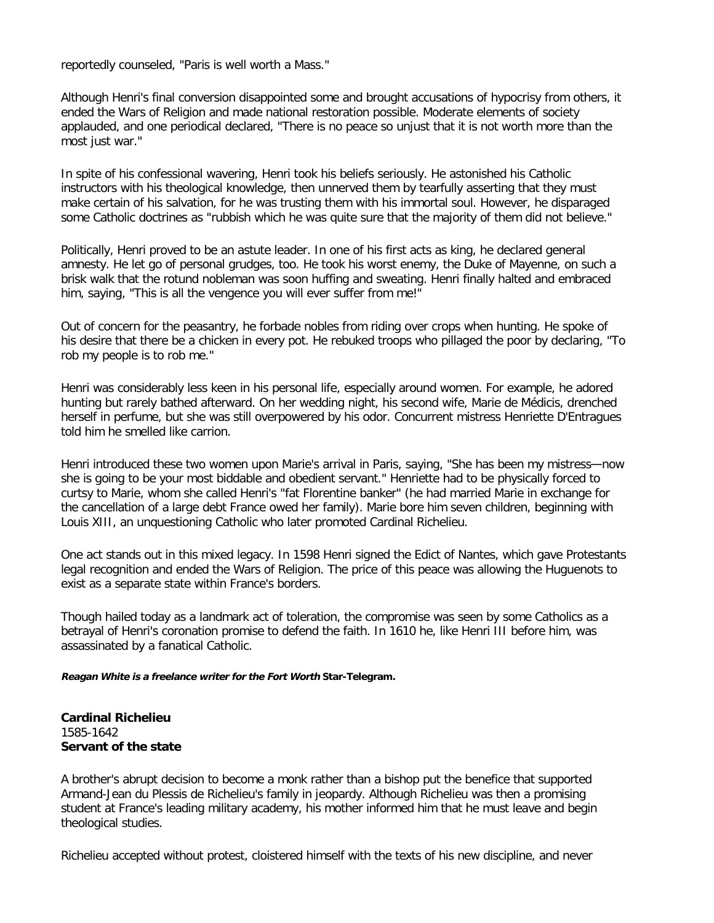reportedly counseled, "Paris is well worth a Mass."

Although Henri's final conversion disappointed some and brought accusations of hypocrisy from others, it ended the Wars of Religion and made national restoration possible. Moderate elements of society applauded, and one periodical declared, "There is no peace so unjust that it is not worth more than the most just war."

In spite of his confessional wavering, Henri took his beliefs seriously. He astonished his Catholic instructors with his theological knowledge, then unnerved them by tearfully asserting that they must make certain of his salvation, for he was trusting them with his immortal soul. However, he disparaged some Catholic doctrines as "rubbish which he was quite sure that the majority of them did not believe."

Politically, Henri proved to be an astute leader. In one of his first acts as king, he declared general amnesty. He let go of personal grudges, too. He took his worst enemy, the Duke of Mayenne, on such a brisk walk that the rotund nobleman was soon huffing and sweating. Henri finally halted and embraced him, saying, "This is all the vengence you will ever suffer from me!"

Out of concern for the peasantry, he forbade nobles from riding over crops when hunting. He spoke of his desire that there be a chicken in every pot. He rebuked troops who pillaged the poor by declaring, "To rob my people is to rob me."

Henri was considerably less keen in his personal life, especially around women. For example, he adored hunting but rarely bathed afterward. On her wedding night, his second wife, Marie de Médicis, drenched herself in perfume, but she was still overpowered by his odor. Concurrent mistress Henriette D'Entragues told him he smelled like carrion.

Henri introduced these two women upon Marie's arrival in Paris, saying, "She has been my mistress—now she is going to be your most biddable and obedient servant." Henriette had to be physically forced to curtsy to Marie, whom she called Henri's "fat Florentine banker" (he had married Marie in exchange for the cancellation of a large debt France owed her family). Marie bore him seven children, beginning with Louis XIII, an unquestioning Catholic who later promoted Cardinal Richelieu.

One act stands out in this mixed legacy. In 1598 Henri signed the Edict of Nantes, which gave Protestants legal recognition and ended the Wars of Religion. The price of this peace was allowing the Huguenots to exist as a separate state within France's borders.

Though hailed today as a landmark act of toleration, the compromise was seen by some Catholics as a betrayal of Henri's coronation promise to defend the faith. In 1610 he, like Henri III before him, was assassinated by a fanatical Catholic.

**Reagan White is a freelance writer for the Fort Worth Star-Telegram.**

**Cardinal Richelieu** 1585-1642 **Servant of the state**

A brother's abrupt decision to become a monk rather than a bishop put the benefice that supported Armand-Jean du Plessis de Richelieu's family in jeopardy. Although Richelieu was then a promising student at France's leading military academy, his mother informed him that he must leave and begin theological studies.

Richelieu accepted without protest, cloistered himself with the texts of his new discipline, and never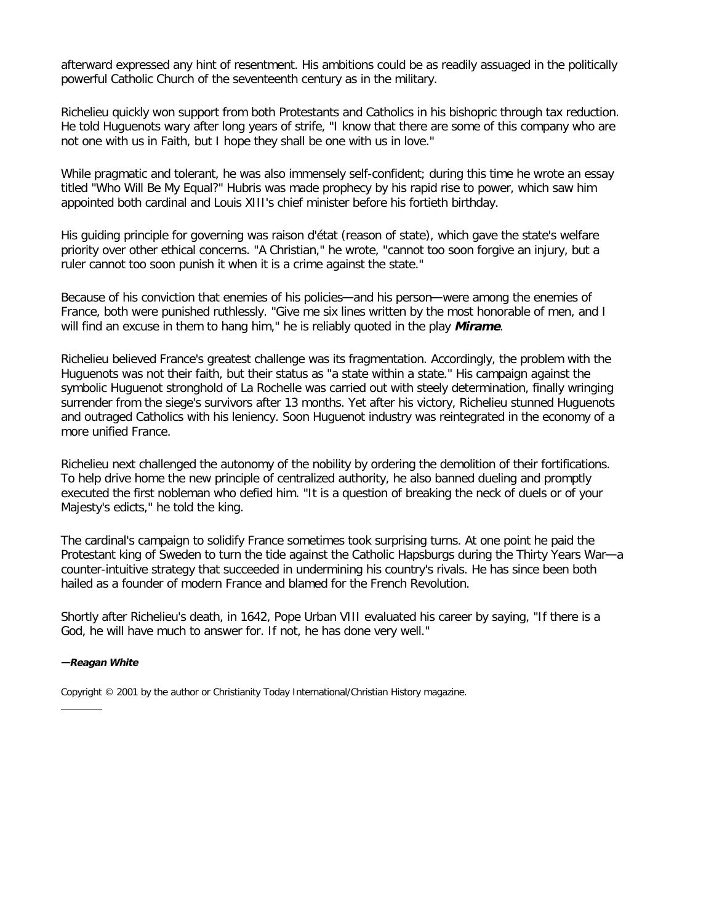afterward expressed any hint of resentment. His ambitions could be as readily assuaged in the politically powerful Catholic Church of the seventeenth century as in the military.

Richelieu quickly won support from both Protestants and Catholics in his bishopric through tax reduction. He told Huguenots wary after long years of strife, "I know that there are some of this company who are not one with us in Faith, but I hope they shall be one with us in love."

While pragmatic and tolerant, he was also immensely self-confident; during this time he wrote an essay titled "Who Will Be My Equal?" Hubris was made prophecy by his rapid rise to power, which saw him appointed both cardinal and Louis XIII's chief minister before his fortieth birthday.

His guiding principle for governing was raison d'état (reason of state), which gave the state's welfare priority over other ethical concerns. "A Christian," he wrote, "cannot too soon forgive an injury, but a ruler cannot too soon punish it when it is a crime against the state."

Because of his conviction that enemies of his policies—and his person—were among the enemies of France, both were punished ruthlessly. "Give me six lines written by the most honorable of men, and I will find an excuse in them to hang him," he is reliably quoted in the play **Mirame**.

Richelieu believed France's greatest challenge was its fragmentation. Accordingly, the problem with the Huguenots was not their faith, but their status as "a state within a state." His campaign against the symbolic Huguenot stronghold of La Rochelle was carried out with steely determination, finally wringing surrender from the siege's survivors after 13 months. Yet after his victory, Richelieu stunned Huguenots and outraged Catholics with his leniency. Soon Huguenot industry was reintegrated in the economy of a more unified France.

Richelieu next challenged the autonomy of the nobility by ordering the demolition of their fortifications. To help drive home the new principle of centralized authority, he also banned dueling and promptly executed the first nobleman who defied him. "It is a question of breaking the neck of duels or of your Majesty's edicts," he told the king.

The cardinal's campaign to solidify France sometimes took surprising turns. At one point he paid the Protestant king of Sweden to turn the tide against the Catholic Hapsburgs during the Thirty Years War—a counter-intuitive strategy that succeeded in undermining his country's rivals. He has since been both hailed as a founder of modern France and blamed for the French Revolution.

Shortly after Richelieu's death, in 1642, Pope Urban VIII evaluated his career by saying, "If there is a God, he will have much to answer for. If not, he has done very well."

#### **—Reagan White**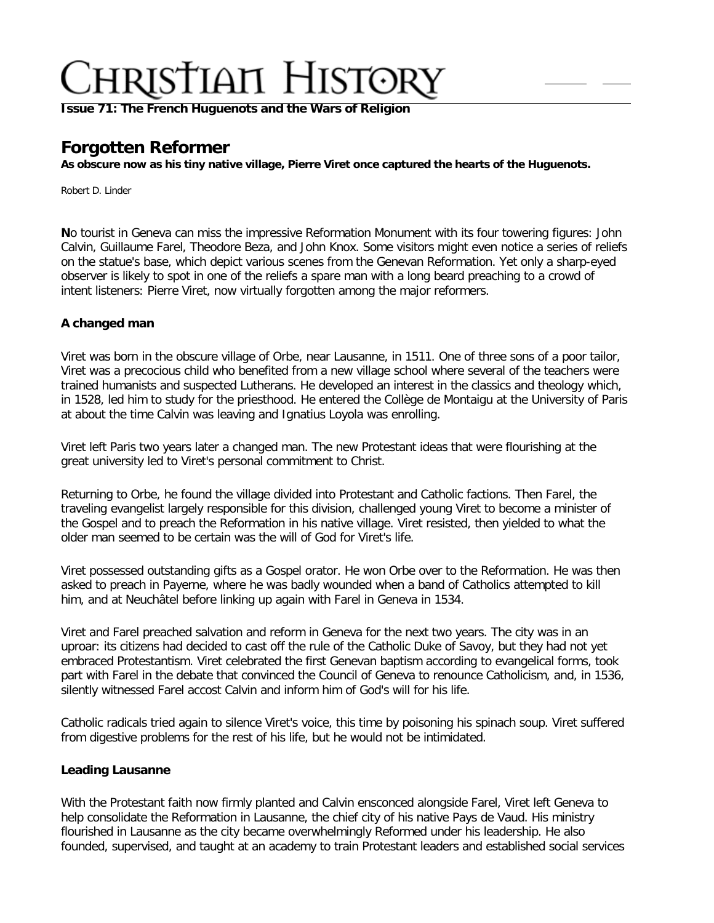# hristian Histof

**[Issue 71: The French Huguenots and the Wars of Religion](http://ctlstaging/ch/cdrom/collection.html?id=381)**

# **Forgotten Reformer**

**As obscure now as his tiny native village, Pierre Viret once captured the hearts of the Huguenots.**

Robert D. Linder

**N**o tourist in Geneva can miss the impressive Reformation Monument with its four towering figures: John Calvin, Guillaume Farel, Theodore Beza, and John Knox. Some visitors might even notice a series of reliefs on the statue's base, which depict various scenes from the Genevan Reformation. Yet only a sharp-eyed observer is likely to spot in one of the reliefs a spare man with a long beard preaching to a crowd of intent listeners: Pierre Viret, now virtually forgotten among the major reformers.

### **A changed man**

Viret was born in the obscure village of Orbe, near Lausanne, in 1511. One of three sons of a poor tailor, Viret was a precocious child who benefited from a new village school where several of the teachers were trained humanists and suspected Lutherans. He developed an interest in the classics and theology which, in 1528, led him to study for the priesthood. He entered the Collège de Montaigu at the University of Paris at about the time Calvin was leaving and Ignatius Loyola was enrolling.

Viret left Paris two years later a changed man. The new Protestant ideas that were flourishing at the great university led to Viret's personal commitment to Christ.

Returning to Orbe, he found the village divided into Protestant and Catholic factions. Then Farel, the traveling evangelist largely responsible for this division, challenged young Viret to become a minister of the Gospel and to preach the Reformation in his native village. Viret resisted, then yielded to what the older man seemed to be certain was the will of God for Viret's life.

Viret possessed outstanding gifts as a Gospel orator. He won Orbe over to the Reformation. He was then asked to preach in Payerne, where he was badly wounded when a band of Catholics attempted to kill him, and at Neuchâtel before linking up again with Farel in Geneva in 1534.

Viret and Farel preached salvation and reform in Geneva for the next two years. The city was in an uproar: its citizens had decided to cast off the rule of the Catholic Duke of Savoy, but they had not yet embraced Protestantism. Viret celebrated the first Genevan baptism according to evangelical forms, took part with Farel in the debate that convinced the Council of Geneva to renounce Catholicism, and, in 1536, silently witnessed Farel accost Calvin and inform him of God's will for his life.

Catholic radicals tried again to silence Viret's voice, this time by poisoning his spinach soup. Viret suffered from digestive problems for the rest of his life, but he would not be intimidated.

#### **Leading Lausanne**

With the Protestant faith now firmly planted and Calvin ensconced alongside Farel, Viret left Geneva to help consolidate the Reformation in Lausanne, the chief city of his native Pays de Vaud. His ministry flourished in Lausanne as the city became overwhelmingly Reformed under his leadership. He also founded, supervised, and taught at an academy to train Protestant leaders and established social services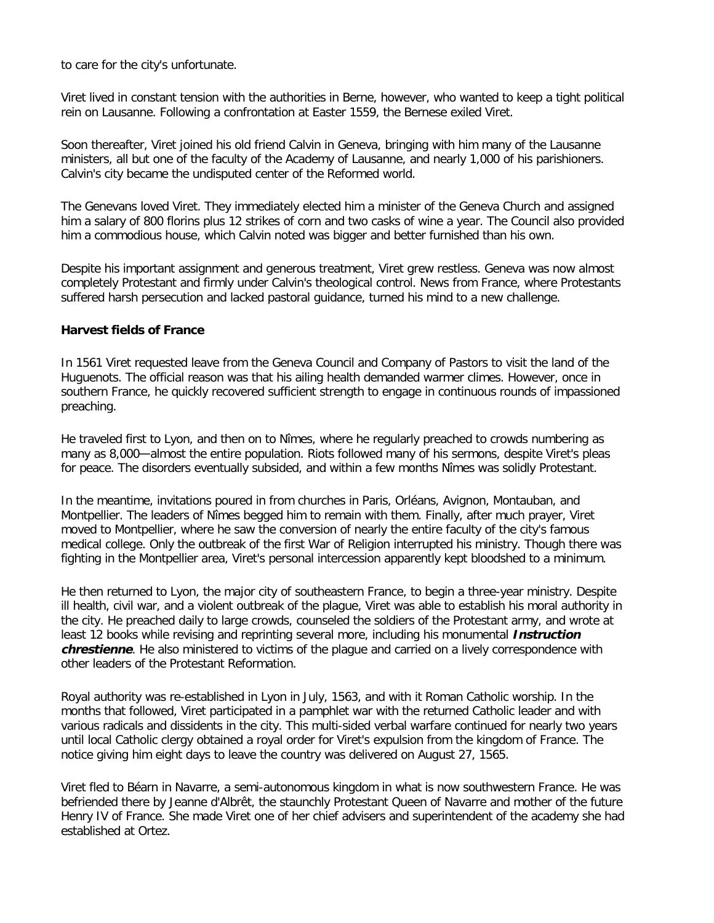to care for the city's unfortunate.

Viret lived in constant tension with the authorities in Berne, however, who wanted to keep a tight political rein on Lausanne. Following a confrontation at Easter 1559, the Bernese exiled Viret.

Soon thereafter, Viret joined his old friend Calvin in Geneva, bringing with him many of the Lausanne ministers, all but one of the faculty of the Academy of Lausanne, and nearly 1,000 of his parishioners. Calvin's city became the undisputed center of the Reformed world.

The Genevans loved Viret. They immediately elected him a minister of the Geneva Church and assigned him a salary of 800 florins plus 12 strikes of corn and two casks of wine a year. The Council also provided him a commodious house, which Calvin noted was bigger and better furnished than his own.

Despite his important assignment and generous treatment, Viret grew restless. Geneva was now almost completely Protestant and firmly under Calvin's theological control. News from France, where Protestants suffered harsh persecution and lacked pastoral guidance, turned his mind to a new challenge.

#### **Harvest fields of France**

In 1561 Viret requested leave from the Geneva Council and Company of Pastors to visit the land of the Huguenots. The official reason was that his ailing health demanded warmer climes. However, once in southern France, he quickly recovered sufficient strength to engage in continuous rounds of impassioned preaching.

He traveled first to Lyon, and then on to Nîmes, where he regularly preached to crowds numbering as many as 8,000—almost the entire population. Riots followed many of his sermons, despite Viret's pleas for peace. The disorders eventually subsided, and within a few months Nîmes was solidly Protestant.

In the meantime, invitations poured in from churches in Paris, Orléans, Avignon, Montauban, and Montpellier. The leaders of Nîmes begged him to remain with them. Finally, after much prayer, Viret moved to Montpellier, where he saw the conversion of nearly the entire faculty of the city's famous medical college. Only the outbreak of the first War of Religion interrupted his ministry. Though there was fighting in the Montpellier area, Viret's personal intercession apparently kept bloodshed to a minimum.

He then returned to Lyon, the major city of southeastern France, to begin a three-year ministry. Despite ill health, civil war, and a violent outbreak of the plague, Viret was able to establish his moral authority in the city. He preached daily to large crowds, counseled the soldiers of the Protestant army, and wrote at least 12 books while revising and reprinting several more, including his monumental **Instruction chrestienne**. He also ministered to victims of the plague and carried on a lively correspondence with other leaders of the Protestant Reformation.

Royal authority was re-established in Lyon in July, 1563, and with it Roman Catholic worship. In the months that followed, Viret participated in a pamphlet war with the returned Catholic leader and with various radicals and dissidents in the city. This multi-sided verbal warfare continued for nearly two years until local Catholic clergy obtained a royal order for Viret's expulsion from the kingdom of France. The notice giving him eight days to leave the country was delivered on August 27, 1565.

Viret fled to Béarn in Navarre, a semi-autonomous kingdom in what is now southwestern France. He was befriended there by Jeanne d'Albrêt, the staunchly Protestant Queen of Navarre and mother of the future Henry IV of France. She made Viret one of her chief advisers and superintendent of the academy she had established at Ortez.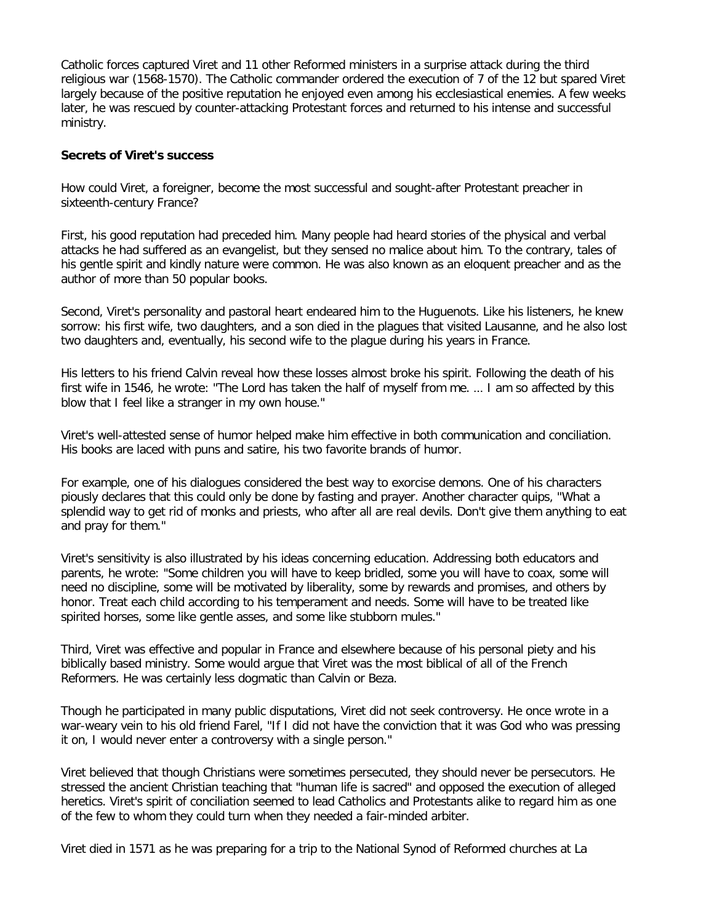Catholic forces captured Viret and 11 other Reformed ministers in a surprise attack during the third religious war (1568-1570). The Catholic commander ordered the execution of 7 of the 12 but spared Viret largely because of the positive reputation he enjoyed even among his ecclesiastical enemies. A few weeks later, he was rescued by counter-attacking Protestant forces and returned to his intense and successful ministry.

### **Secrets of Viret's success**

How could Viret, a foreigner, become the most successful and sought-after Protestant preacher in sixteenth-century France?

First, his good reputation had preceded him. Many people had heard stories of the physical and verbal attacks he had suffered as an evangelist, but they sensed no malice about him. To the contrary, tales of his gentle spirit and kindly nature were common. He was also known as an eloquent preacher and as the author of more than 50 popular books.

Second, Viret's personality and pastoral heart endeared him to the Huguenots. Like his listeners, he knew sorrow: his first wife, two daughters, and a son died in the plagues that visited Lausanne, and he also lost two daughters and, eventually, his second wife to the plague during his years in France.

His letters to his friend Calvin reveal how these losses almost broke his spirit. Following the death of his first wife in 1546, he wrote: "The Lord has taken the half of myself from me. … I am so affected by this blow that I feel like a stranger in my own house."

Viret's well-attested sense of humor helped make him effective in both communication and conciliation. His books are laced with puns and satire, his two favorite brands of humor.

For example, one of his dialogues considered the best way to exorcise demons. One of his characters piously declares that this could only be done by fasting and prayer. Another character quips, "What a splendid way to get rid of monks and priests, who after all are real devils. Don't give them anything to eat and pray for them."

Viret's sensitivity is also illustrated by his ideas concerning education. Addressing both educators and parents, he wrote: "Some children you will have to keep bridled, some you will have to coax, some will need no discipline, some will be motivated by liberality, some by rewards and promises, and others by honor. Treat each child according to his temperament and needs. Some will have to be treated like spirited horses, some like gentle asses, and some like stubborn mules."

Third, Viret was effective and popular in France and elsewhere because of his personal piety and his biblically based ministry. Some would argue that Viret was the most biblical of all of the French Reformers. He was certainly less dogmatic than Calvin or Beza.

Though he participated in many public disputations, Viret did not seek controversy. He once wrote in a war-weary vein to his old friend Farel, "If I did not have the conviction that it was God who was pressing it on, I would never enter a controversy with a single person."

Viret believed that though Christians were sometimes persecuted, they should never be persecutors. He stressed the ancient Christian teaching that "human life is sacred" and opposed the execution of alleged heretics. Viret's spirit of conciliation seemed to lead Catholics and Protestants alike to regard him as one of the few to whom they could turn when they needed a fair-minded arbiter.

Viret died in 1571 as he was preparing for a trip to the National Synod of Reformed churches at La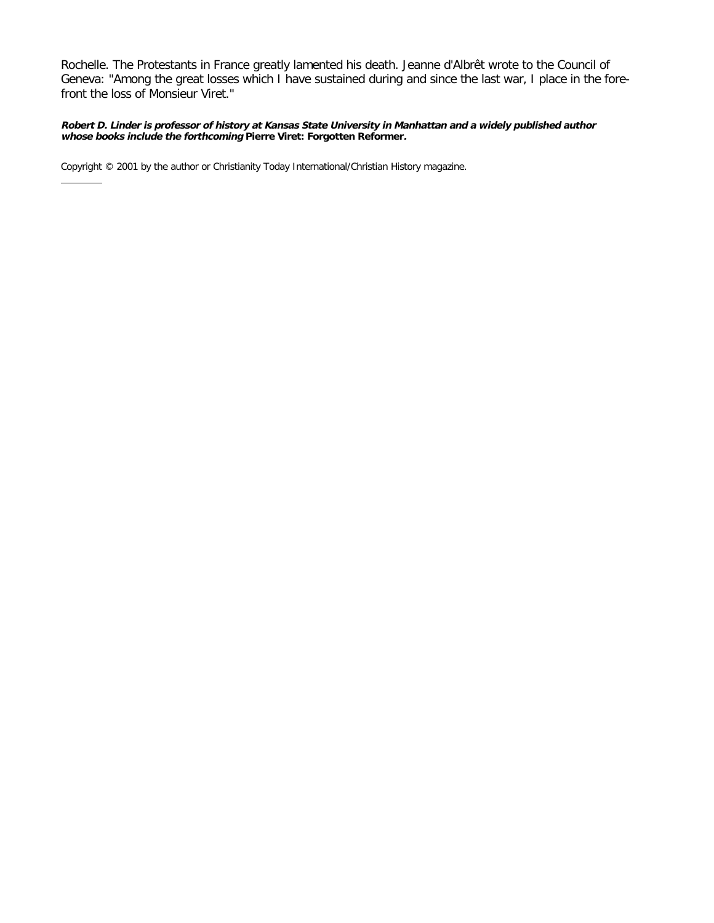Rochelle. The Protestants in France greatly lamented his death. Jeanne d'Albrêt wrote to the Council of Geneva: "Among the great losses which I have sustained during and since the last war, I place in the forefront the loss of Monsieur Viret."

#### **Robert D. Linder is professor of history at Kansas State University in Manhattan and a widely published author whose books include the forthcoming Pierre Viret: Forgotten Reformer.**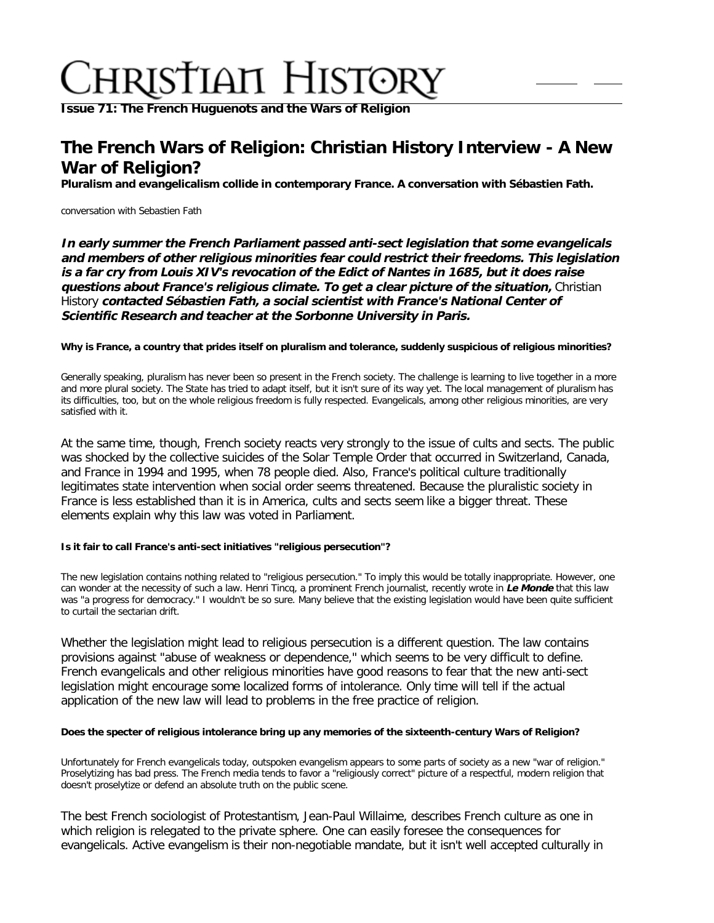# Christian Histor

**[Issue 71: The French Huguenots and the Wars of Religion](http://ctlstaging/ch/cdrom/collection.html?id=381)**

## **The French Wars of Religion: Christian History Interview - A New War of Religion?**

**Pluralism and evangelicalism collide in contemporary France. A conversation with Sébastien Fath.**

conversation with Sebastien Fath

**In early summer the French Parliament passed anti-sect legislation that some evangelicals and members of other religious minorities fear could restrict their freedoms. This legislation is a far cry from Louis XIV's revocation of the Edict of Nantes in 1685, but it does raise questions about France's religious climate. To get a clear picture of the situation,** Christian History **contacted Sébastien Fath, a social scientist with France's National Center of Scientific Research and teacher at the Sorbonne University in Paris.**

#### **Why is France, a country that prides itself on pluralism and tolerance, suddenly suspicious of religious minorities?**

Generally speaking, pluralism has never been so present in the French society. The challenge is learning to live together in a more and more plural society. The State has tried to adapt itself, but it isn't sure of its way yet. The local management of pluralism has its difficulties, too, but on the whole religious freedom is fully respected. Evangelicals, among other religious minorities, are very satisfied with it.

At the same time, though, French society reacts very strongly to the issue of cults and sects. The public was shocked by the collective suicides of the Solar Temple Order that occurred in Switzerland, Canada, and France in 1994 and 1995, when 78 people died. Also, France's political culture traditionally legitimates state intervention when social order seems threatened. Because the pluralistic society in France is less established than it is in America, cults and sects seem like a bigger threat. These elements explain why this law was voted in Parliament.

#### **Is it fair to call France's anti-sect initiatives "religious persecution"?**

The new legislation contains nothing related to "religious persecution." To imply this would be totally inappropriate. However, one can wonder at the necessity of such a law. Henri Tincq, a prominent French journalist, recently wrote in **Le Monde** that this law was "a progress for democracy." I wouldn't be so sure. Many believe that the existing legislation would have been quite sufficient to curtail the sectarian drift.

Whether the legislation might lead to religious persecution is a different question. The law contains provisions against "abuse of weakness or dependence," which seems to be very difficult to define. French evangelicals and other religious minorities have good reasons to fear that the new anti-sect legislation might encourage some localized forms of intolerance. Only time will tell if the actual application of the new law will lead to problems in the free practice of religion.

#### **Does the specter of religious intolerance bring up any memories of the sixteenth-century Wars of Religion?**

Unfortunately for French evangelicals today, outspoken evangelism appears to some parts of society as a new "war of religion." Proselytizing has bad press. The French media tends to favor a "religiously correct" picture of a respectful, modern religion that doesn't proselytize or defend an absolute truth on the public scene.

The best French sociologist of Protestantism, Jean-Paul Willaime, describes French culture as one in which religion is relegated to the private sphere. One can easily foresee the consequences for evangelicals. Active evangelism is their non-negotiable mandate, but it isn't well accepted culturally in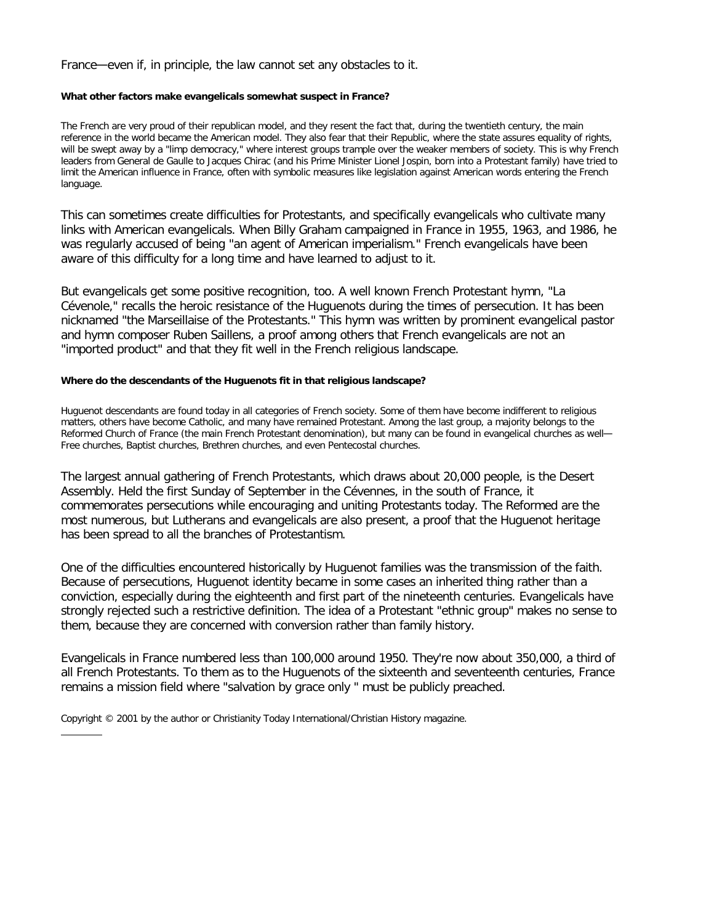#### France—even if, in principle, the law cannot set any obstacles to it.

#### **What other factors make evangelicals somewhat suspect in France?**

The French are very proud of their republican model, and they resent the fact that, during the twentieth century, the main reference in the world became the American model. They also fear that their Republic, where the state assures equality of rights, will be swept away by a "limp democracy," where interest groups trample over the weaker members of society. This is why French leaders from General de Gaulle to Jacques Chirac (and his Prime Minister Lionel Jospin, born into a Protestant family) have tried to limit the American influence in France, often with symbolic measures like legislation against American words entering the French language.

This can sometimes create difficulties for Protestants, and specifically evangelicals who cultivate many links with American evangelicals. When Billy Graham campaigned in France in 1955, 1963, and 1986, he was regularly accused of being "an agent of American imperialism." French evangelicals have been aware of this difficulty for a long time and have learned to adjust to it.

But evangelicals get some positive recognition, too. A well known French Protestant hymn, "La Cévenole," recalls the heroic resistance of the Huguenots during the times of persecution. It has been nicknamed "the Marseillaise of the Protestants." This hymn was written by prominent evangelical pastor and hymn composer Ruben Saillens, a proof among others that French evangelicals are not an "imported product" and that they fit well in the French religious landscape.

#### **Where do the descendants of the Huguenots fit in that religious landscape?**

Huguenot descendants are found today in all categories of French society. Some of them have become indifferent to religious matters, others have become Catholic, and many have remained Protestant. Among the last group, a majority belongs to the Reformed Church of France (the main French Protestant denomination), but many can be found in evangelical churches as well— Free churches, Baptist churches, Brethren churches, and even Pentecostal churches.

The largest annual gathering of French Protestants, which draws about 20,000 people, is the Desert Assembly. Held the first Sunday of September in the Cévennes, in the south of France, it commemorates persecutions while encouraging and uniting Protestants today. The Reformed are the most numerous, but Lutherans and evangelicals are also present, a proof that the Huguenot heritage has been spread to all the branches of Protestantism.

One of the difficulties encountered historically by Huguenot families was the transmission of the faith. Because of persecutions, Huguenot identity became in some cases an inherited thing rather than a conviction, especially during the eighteenth and first part of the nineteenth centuries. Evangelicals have strongly rejected such a restrictive definition. The idea of a Protestant "ethnic group" makes no sense to them, because they are concerned with conversion rather than family history.

Evangelicals in France numbered less than 100,000 around 1950. They're now about 350,000, a third of all French Protestants. To them as to the Huguenots of the sixteenth and seventeenth centuries, France remains a mission field where "salvation by grace only " must be publicly preached.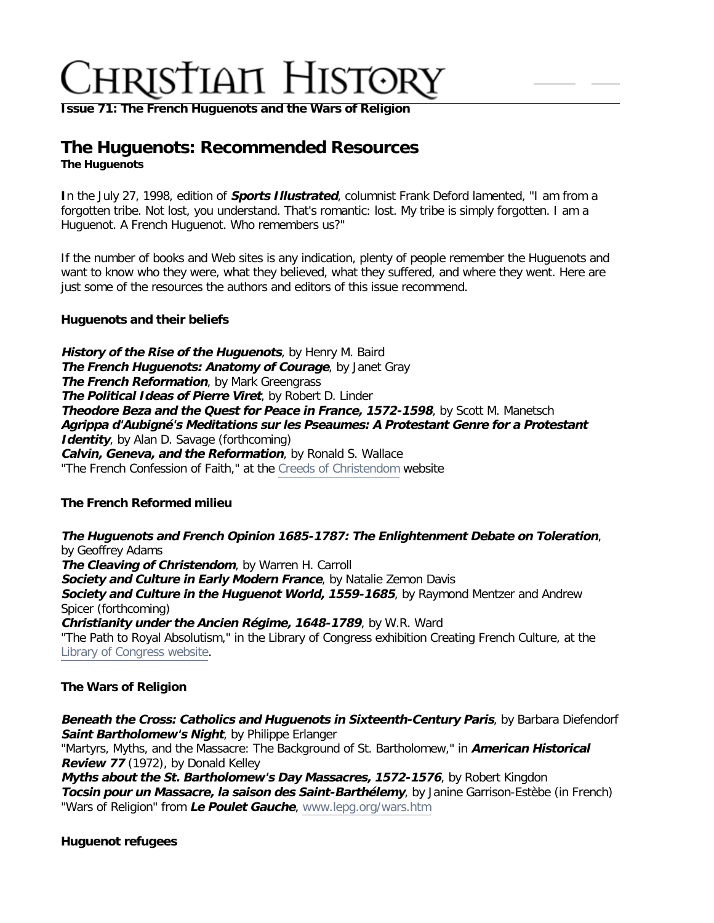# hristian Histor

**[Issue 71: The French Huguenots and the Wars of Religion](http://ctlstaging/ch/cdrom/collection.html?id=381)**

### **The Huguenots: Recommended Resources The Huguenots**

**I**n the July 27, 1998, edition of **Sports Illustrated**, columnist Frank Deford lamented, "I am from a forgotten tribe. Not lost, you understand. That's romantic: lost. My tribe is simply forgotten. I am a Huguenot. A French Huguenot. Who remembers us?"

If the number of books and Web sites is any indication, plenty of people remember the Huguenots and want to know who they were, what they believed, what they suffered, and where they went. Here are just some of the resources the authors and editors of this issue recommend.

### **Huguenots and their beliefs**

**History of the Rise of the Huguenots**, by Henry M. Baird **The French Huguenots: Anatomy of Courage**, by Janet Gray **The French Reformation**, by Mark Greengrass **The Political Ideas of Pierre Viret**, by Robert D. Linder **Theodore Beza and the Quest for Peace in France, 1572-1598**, by Scott M. Manetsch **Agrippa d'Aubigné's Meditations sur les Pseaumes: A Protestant Genre for a Protestant Identity**, by Alan D. Savage (forthcoming) **Calvin, Geneva, and the Reformation**, by Ronald S. Wallace "The French Confession of Faith," at the [Creeds of Christendom](http://www.creeds.net/reformed/frconf.htm) website

### **The French Reformed milieu**

**The Huguenots and French Opinion 1685-1787: The Enlightenment Debate on Toleration**, by Geoffrey Adams **The Cleaving of Christendom**, by Warren H. Carroll **Society and Culture in Early Modern France**, by Natalie Zemon Davis **Society and Culture in the Huguenot World, 1559-1685**, by Raymond Mentzer and Andrew Spicer (forthcoming) **Christianity under the Ancien Régime, 1648-1789**, by W.R. Ward "The Path to Royal Absolutism," in the Library of Congress exhibition Creating French Culture, at the [Library of Congress website](http://lcweb.loc.gov/exhibits/bnf/bnf0004.html).

### **The Wars of Religion**

**Beneath the Cross: Catholics and Huguenots in Sixteenth-Century Paris**, by Barbara Diefendorf **Saint Bartholomew's Night**, by Philippe Erlanger "Martyrs, Myths, and the Massacre: The Background of St. Bartholomew," in **American Historical Review 77** (1972), by Donald Kelley **Myths about the St. Bartholomew's Day Massacres, 1572-1576**, by Robert Kingdon **Tocsin pour un Massacre, la saison des Saint-Barthélemy**, by Janine Garrison-Estèbe (in French)

"Wars of Religion" from **Le Poulet Gauche**, [www.lepg.org/wars.htm](http://www.lepg.org/wars.htm)

### **Huguenot refugees**